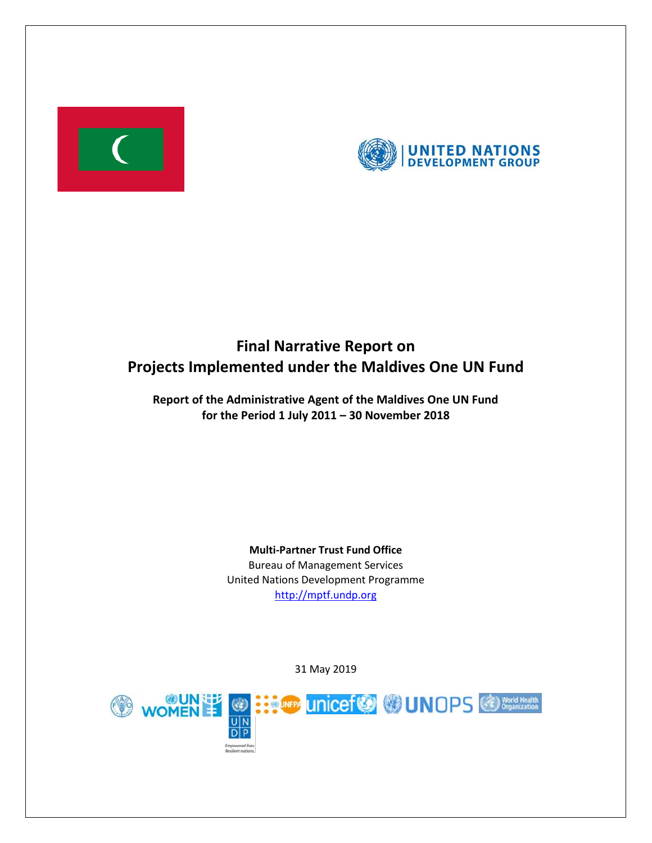



# **Final Narrative Report on Projects Implemented under the Maldives One UN Fund**

**Report of the Administrative Agent of the Maldives One UN Fund for the Period 1 July 2011 – 30 November 2018**

> **Multi-Partner Trust Fund Office** Bureau of Management Services United Nations Development Programme [http://mptf.undp.org](http://mptf.undp.org/)

> > 31 May 2019

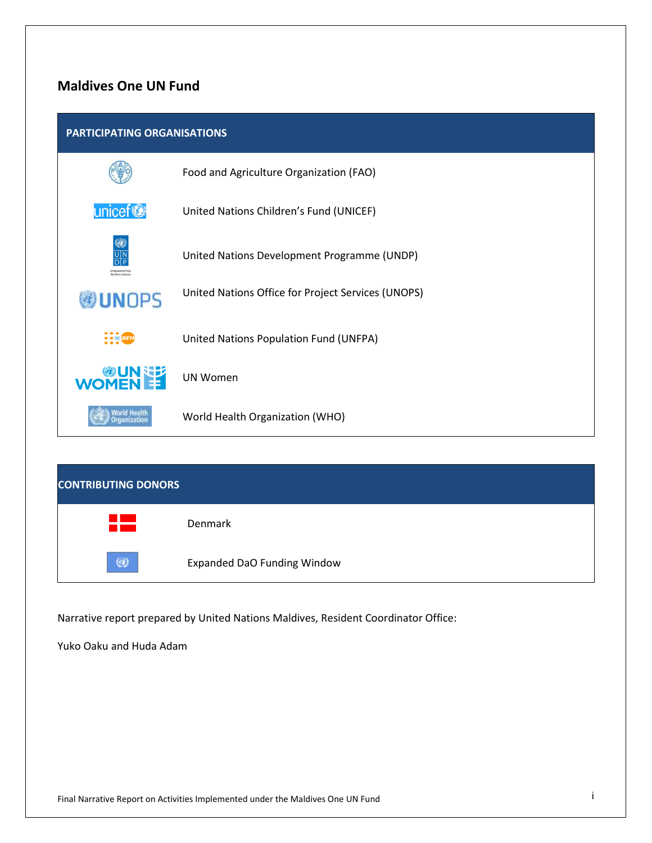# **Maldives One UN Fund**

## **PARTICIPATING ORGANISATIONS**



| <b>CONTRIBUTING DONORS</b> |                                    |
|----------------------------|------------------------------------|
| a sa n<br>a sa sa          | Denmark                            |
| $\circledast$              | <b>Expanded DaO Funding Window</b> |

Narrative report prepared by United Nations Maldives, Resident Coordinator Office:

Yuko Oaku and Huda Adam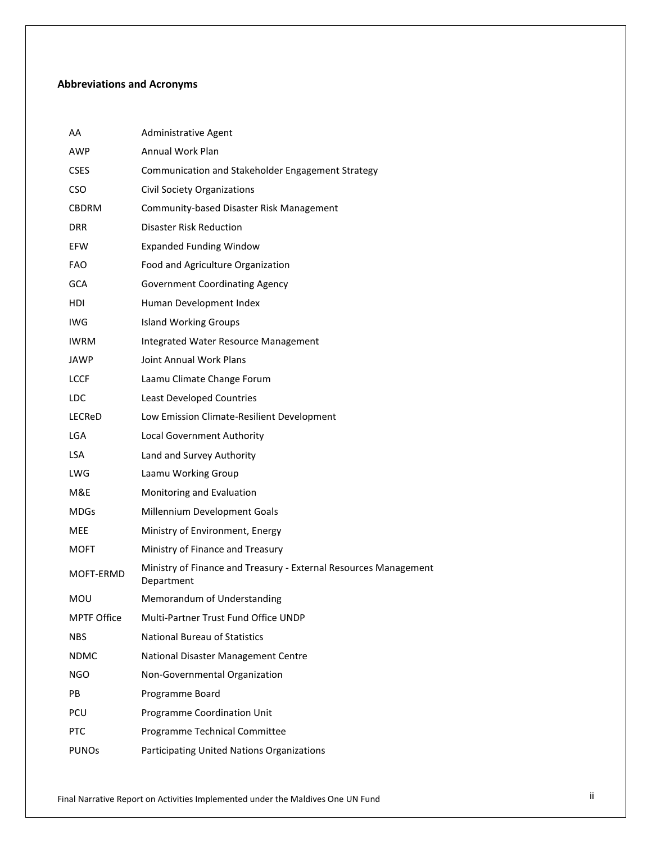# **Abbreviations and Acronyms**

| AA                 | Administrative Agent                                                           |
|--------------------|--------------------------------------------------------------------------------|
| AWP                | <b>Annual Work Plan</b>                                                        |
| <b>CSES</b>        | Communication and Stakeholder Engagement Strategy                              |
| CSO.               | <b>Civil Society Organizations</b>                                             |
| CBDRM              | Community-based Disaster Risk Management                                       |
| DRR                | <b>Disaster Risk Reduction</b>                                                 |
| EFW                | <b>Expanded Funding Window</b>                                                 |
| FAO                | Food and Agriculture Organization                                              |
| <b>GCA</b>         | <b>Government Coordinating Agency</b>                                          |
| HDI                | Human Development Index                                                        |
| IWG                | <b>Island Working Groups</b>                                                   |
| <b>IWRM</b>        | Integrated Water Resource Management                                           |
| JAWP               | Joint Annual Work Plans                                                        |
| LCCF               | Laamu Climate Change Forum                                                     |
| LDC                | <b>Least Developed Countries</b>                                               |
| LECReD             | Low Emission Climate-Resilient Development                                     |
| <b>LGA</b>         | <b>Local Government Authority</b>                                              |
| LSA.               | Land and Survey Authority                                                      |
| LWG                | Laamu Working Group                                                            |
| M&E                | Monitoring and Evaluation                                                      |
| MDGs               | Millennium Development Goals                                                   |
| MEE                | Ministry of Environment, Energy                                                |
| MOFT               | Ministry of Finance and Treasury                                               |
| MOFT-ERMD          | Ministry of Finance and Treasury - External Resources Management<br>Department |
| MOU                | Memorandum of Understanding                                                    |
| <b>MPTF Office</b> | Multi-Partner Trust Fund Office UNDP                                           |
| NBS.               | <b>National Bureau of Statistics</b>                                           |
| NDMC               | National Disaster Management Centre                                            |
| NGO                | Non-Governmental Organization                                                  |
| PB                 | Programme Board                                                                |
| PCU                | Programme Coordination Unit                                                    |
| <b>PTC</b>         | Programme Technical Committee                                                  |
| <b>PUNOs</b>       | Participating United Nations Organizations                                     |
|                    |                                                                                |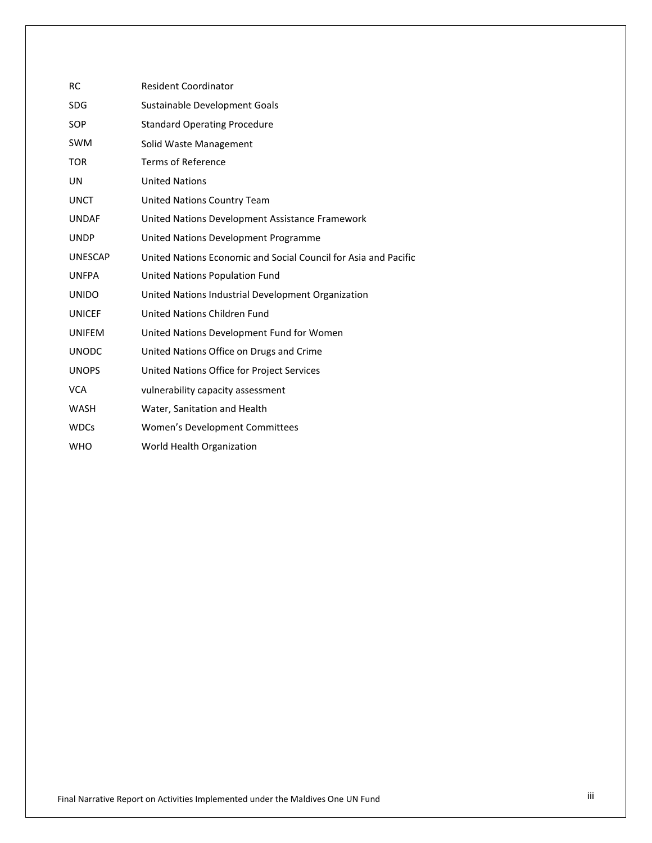| <b>RC</b>      | <b>Resident Coordinator</b>                                     |
|----------------|-----------------------------------------------------------------|
| <b>SDG</b>     | Sustainable Development Goals                                   |
| <b>SOP</b>     | <b>Standard Operating Procedure</b>                             |
| <b>SWM</b>     | Solid Waste Management                                          |
| <b>TOR</b>     | <b>Terms of Reference</b>                                       |
| UN             | <b>United Nations</b>                                           |
| <b>UNCT</b>    | United Nations Country Team                                     |
| <b>UNDAF</b>   | United Nations Development Assistance Framework                 |
| <b>UNDP</b>    | United Nations Development Programme                            |
| <b>UNESCAP</b> | United Nations Economic and Social Council for Asia and Pacific |
| <b>UNFPA</b>   | United Nations Population Fund                                  |
| <b>UNIDO</b>   | United Nations Industrial Development Organization              |
| <b>UNICEF</b>  | United Nations Children Fund                                    |
| <b>UNIFEM</b>  | United Nations Development Fund for Women                       |
| <b>UNODC</b>   | United Nations Office on Drugs and Crime                        |
| <b>UNOPS</b>   | United Nations Office for Project Services                      |
| <b>VCA</b>     | vulnerability capacity assessment                               |
| WASH           | Water, Sanitation and Health                                    |
| <b>WDCs</b>    | Women's Development Committees                                  |
| <b>WHO</b>     | World Health Organization                                       |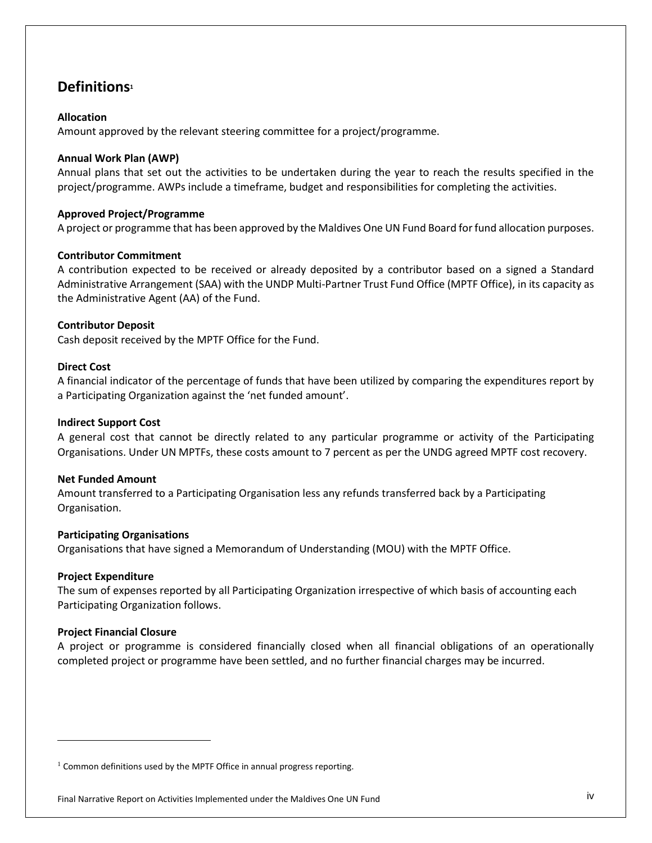# **Definitions<sup>1</sup>**

# **Allocation**

Amount approved by the relevant steering committee for a project/programme.

# **Annual Work Plan (AWP)**

Annual plans that set out the activities to be undertaken during the year to reach the results specified in the project/programme. AWPs include a timeframe, budget and responsibilities for completing the activities.

# **Approved Project/Programme**

A project or programme that has been approved by the Maldives One UN Fund Board for fund allocation purposes.

# **Contributor Commitment**

A contribution expected to be received or already deposited by a contributor based on a signed a Standard Administrative Arrangement (SAA) with the UNDP Multi-Partner Trust Fund Office (MPTF Office), in its capacity as the Administrative Agent (AA) of the Fund.

# **Contributor Deposit**

Cash deposit received by the MPTF Office for the Fund.

# **Direct Cost**

A financial indicator of the percentage of funds that have been utilized by comparing the expenditures report by a Participating Organization against the 'net funded amount'.

# **Indirect Support Cost**

A general cost that cannot be directly related to any particular programme or activity of the Participating Organisations. Under UN MPTFs, these costs amount to 7 percent as per the UNDG agreed MPTF cost recovery.

# **Net Funded Amount**

Amount transferred to a Participating Organisation less any refunds transferred back by a Participating Organisation.

# **Participating Organisations**

Organisations that have signed a Memorandum of Understanding (MOU) with the MPTF Office.

# **Project Expenditure**

l

The sum of expenses reported by all Participating Organization irrespective of which basis of accounting each Participating Organization follows.

# **Project Financial Closure**

A project or programme is considered financially closed when all financial obligations of an operationally completed project or programme have been settled, and no further financial charges may be incurred.

 $1$  Common definitions used by the MPTF Office in annual progress reporting.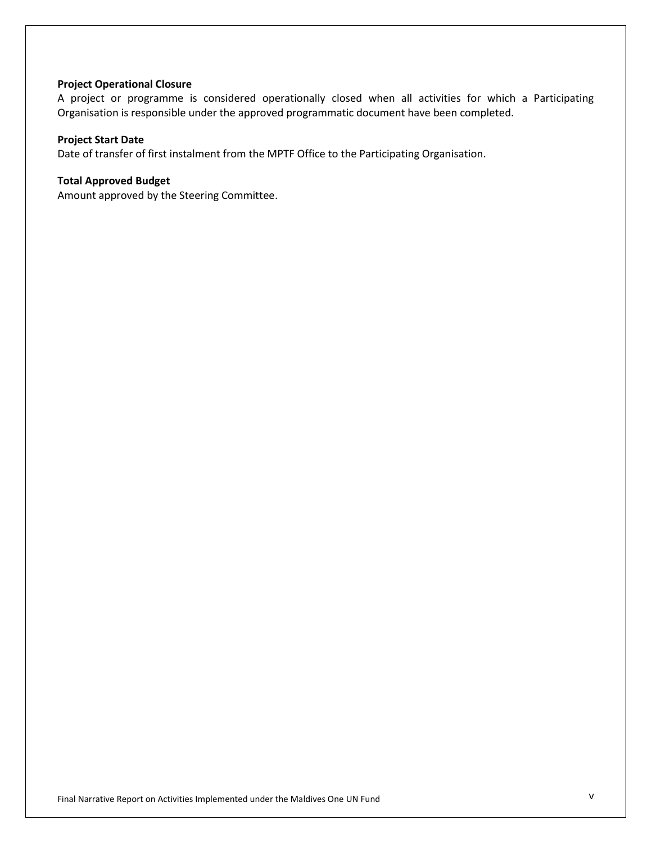## **Project Operational Closure**

A project or programme is considered operationally closed when all activities for which a Participating Organisation is responsible under the approved programmatic document have been completed.

# **Project Start Date**

Date of transfer of first instalment from the MPTF Office to the Participating Organisation.

## **Total Approved Budget**

Amount approved by the Steering Committee.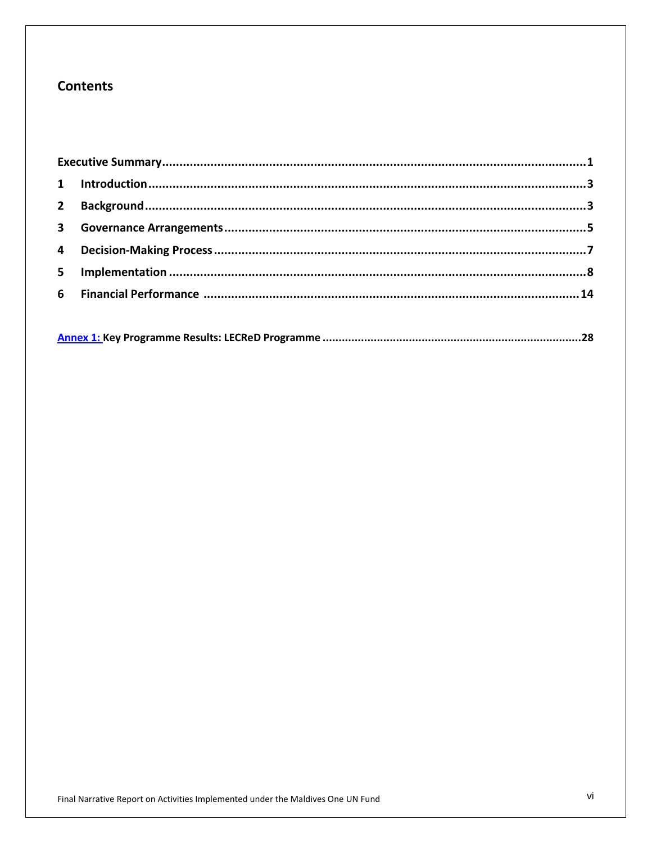# **Contents**

|--|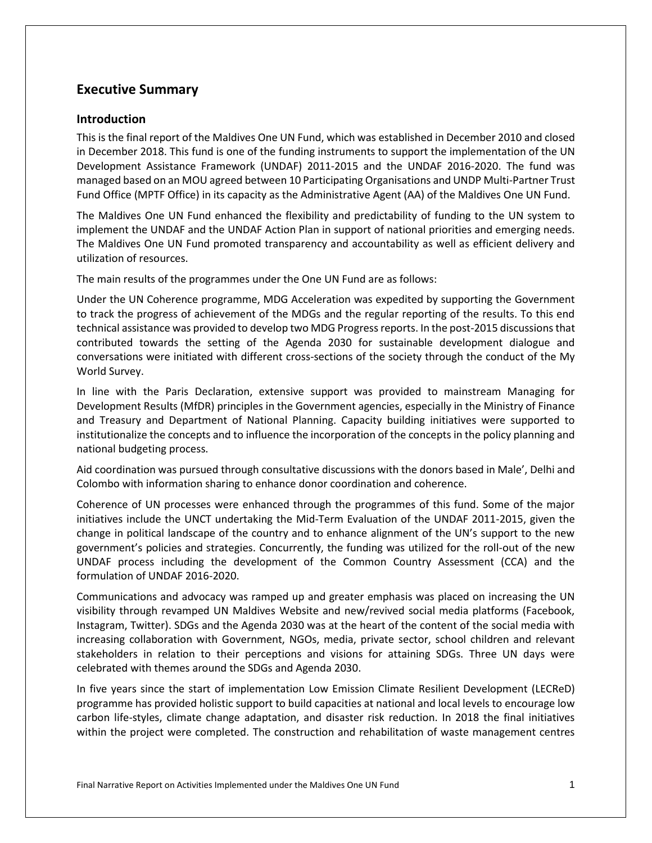# <span id="page-7-0"></span>**Executive Summary**

# **Introduction**

This is the final report of the Maldives One UN Fund, which was established in December 2010 and closed in December 2018. This fund is one of the funding instruments to support the implementation of the UN Development Assistance Framework (UNDAF) 2011-2015 and the UNDAF 2016-2020. The fund was managed based on an MOU agreed between 10 Participating Organisations and UNDP Multi-Partner Trust Fund Office (MPTF Office) in its capacity as the Administrative Agent (AA) of the Maldives One UN Fund.

The Maldives One UN Fund enhanced the flexibility and predictability of funding to the UN system to implement the UNDAF and the UNDAF Action Plan in support of national priorities and emerging needs. The Maldives One UN Fund promoted transparency and accountability as well as efficient delivery and utilization of resources.

The main results of the programmes under the One UN Fund are as follows:

Under the UN Coherence programme, MDG Acceleration was expedited by supporting the Government to track the progress of achievement of the MDGs and the regular reporting of the results. To this end technical assistance was provided to develop two MDG Progress reports. In the post-2015 discussions that contributed towards the setting of the Agenda 2030 for sustainable development dialogue and conversations were initiated with different cross-sections of the society through the conduct of the My World Survey.

In line with the Paris Declaration, extensive support was provided to mainstream Managing for Development Results (MfDR) principles in the Government agencies, especially in the Ministry of Finance and Treasury and Department of National Planning. Capacity building initiatives were supported to institutionalize the concepts and to influence the incorporation of the concepts in the policy planning and national budgeting process.

Aid coordination was pursued through consultative discussions with the donors based in Male', Delhi and Colombo with information sharing to enhance donor coordination and coherence.

Coherence of UN processes were enhanced through the programmes of this fund. Some of the major initiatives include the UNCT undertaking the Mid-Term Evaluation of the UNDAF 2011-2015, given the change in political landscape of the country and to enhance alignment of the UN's support to the new government's policies and strategies. Concurrently, the funding was utilized for the roll-out of the new UNDAF process including the development of the Common Country Assessment (CCA) and the formulation of UNDAF 2016-2020.

Communications and advocacy was ramped up and greater emphasis was placed on increasing the UN visibility through revamped UN Maldives Website and new/revived social media platforms (Facebook, Instagram, Twitter). SDGs and the Agenda 2030 was at the heart of the content of the social media with increasing collaboration with Government, NGOs, media, private sector, school children and relevant stakeholders in relation to their perceptions and visions for attaining SDGs. Three UN days were celebrated with themes around the SDGs and Agenda 2030.

In five years since the start of implementation Low Emission Climate Resilient Development (LECReD) programme has provided holistic support to build capacities at national and local levels to encourage low carbon life-styles, climate change adaptation, and disaster risk reduction. In 2018 the final initiatives within the project were completed. The construction and rehabilitation of waste management centres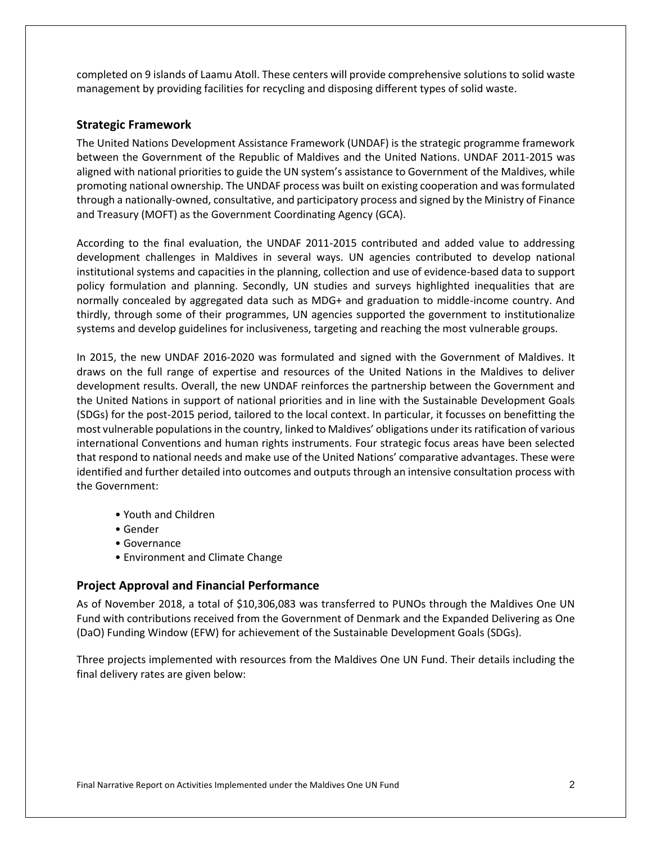completed on 9 islands of Laamu Atoll. These centers will provide comprehensive solutions to solid waste management by providing facilities for recycling and disposing different types of solid waste.

# **Strategic Framework**

The United Nations Development Assistance Framework (UNDAF) is the strategic programme framework between the Government of the Republic of Maldives and the United Nations. UNDAF 2011-2015 was aligned with national priorities to guide the UN system's assistance to Government of the Maldives, while promoting national ownership. The UNDAF process was built on existing cooperation and was formulated through a nationally-owned, consultative, and participatory process and signed by the Ministry of Finance and Treasury (MOFT) as the Government Coordinating Agency (GCA).

According to the final evaluation, the UNDAF 2011-2015 contributed and added value to addressing development challenges in Maldives in several ways. UN agencies contributed to develop national institutional systems and capacities in the planning, collection and use of evidence-based data to support policy formulation and planning. Secondly, UN studies and surveys highlighted inequalities that are normally concealed by aggregated data such as MDG+ and graduation to middle-income country. And thirdly, through some of their programmes, UN agencies supported the government to institutionalize systems and develop guidelines for inclusiveness, targeting and reaching the most vulnerable groups.

In 2015, the new UNDAF 2016-2020 was formulated and signed with the Government of Maldives. It draws on the full range of expertise and resources of the United Nations in the Maldives to deliver development results. Overall, the new UNDAF reinforces the partnership between the Government and the United Nations in support of national priorities and in line with the Sustainable Development Goals (SDGs) for the post-2015 period, tailored to the local context. In particular, it focusses on benefitting the most vulnerable populations in the country, linked to Maldives' obligations under its ratification of various international Conventions and human rights instruments. Four strategic focus areas have been selected that respond to national needs and make use of the United Nations' comparative advantages. These were identified and further detailed into outcomes and outputs through an intensive consultation process with the Government:

- Youth and Children
- Gender
- Governance
- Environment and Climate Change

# **Project Approval and Financial Performance**

As of November 2018, a total of \$10,306,083 was transferred to PUNOs through the Maldives One UN Fund with contributions received from the Government of Denmark and the Expanded Delivering as One (DaO) Funding Window (EFW) for achievement of the Sustainable Development Goals (SDGs).

Three projects implemented with resources from the Maldives One UN Fund. Their details including the final delivery rates are given below: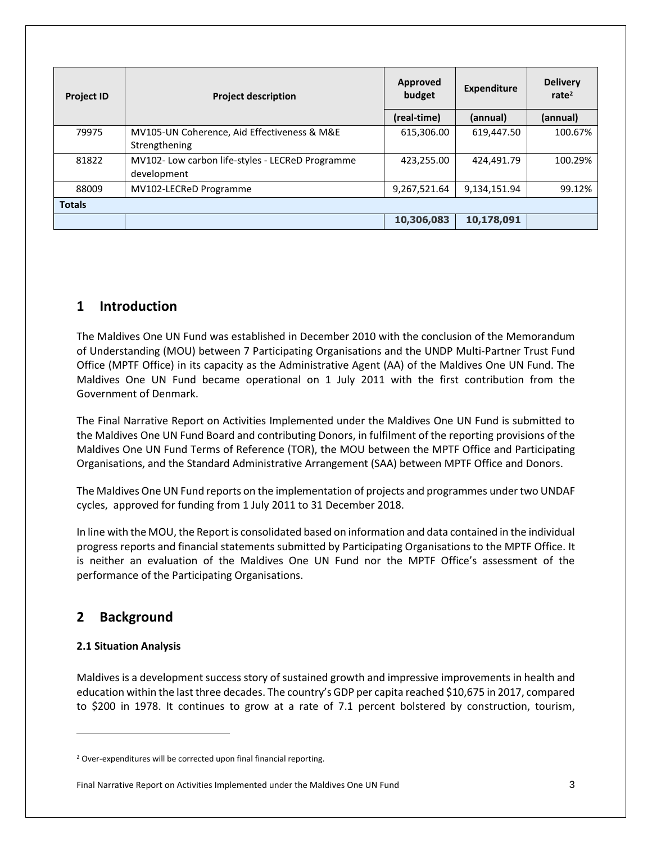| <b>Project ID</b> | <b>Project description</b>                                      | <b>Approved</b><br><b>Expenditure</b><br>budget |              | <b>Delivery</b><br>rate $2$ |
|-------------------|-----------------------------------------------------------------|-------------------------------------------------|--------------|-----------------------------|
|                   |                                                                 | (real-time)                                     | (annual)     | (annual)                    |
| 79975             | MV105-UN Coherence, Aid Effectiveness & M&E<br>Strengthening    | 615,306.00                                      | 619,447.50   | 100.67%                     |
| 81822             | MV102- Low carbon life-styles - LECReD Programme<br>development | 423,255.00                                      | 424,491.79   | 100.29%                     |
| 88009             | MV102-LECReD Programme                                          | 9,267,521.64                                    | 9,134,151.94 | 99.12%                      |
| <b>Totals</b>     |                                                                 |                                                 |              |                             |
|                   |                                                                 | 10,306,083                                      | 10,178,091   |                             |

# <span id="page-9-0"></span>**1 Introduction**

The Maldives One UN Fund was established in December 2010 with the conclusion of the Memorandum of Understanding (MOU) between 7 Participating Organisations and the UNDP Multi-Partner Trust Fund Office (MPTF Office) in its capacity as the Administrative Agent (AA) of the Maldives One UN Fund. The Maldives One UN Fund became operational on 1 July 2011 with the first contribution from the Government of Denmark.

The Final Narrative Report on Activities Implemented under the Maldives One UN Fund is submitted to the Maldives One UN Fund Board and contributing Donors, in fulfilment of the reporting provisions of the Maldives One UN Fund Terms of Reference (TOR), the MOU between the MPTF Office and Participating Organisations, and the Standard Administrative Arrangement (SAA) between MPTF Office and Donors.

The Maldives One UN Fund reports on the implementation of projects and programmes under two UNDAF cycles, approved for funding from 1 July 2011 to 31 December 2018.

In line with the MOU, the Report is consolidated based on information and data contained in the individual progress reports and financial statements submitted by Participating Organisations to the MPTF Office. It is neither an evaluation of the Maldives One UN Fund nor the MPTF Office's assessment of the performance of the Participating Organisations.

# <span id="page-9-1"></span>**2 Background**

# **2.1 Situation Analysis**

 $\overline{\phantom{a}}$ 

Maldives is a development success story of sustained growth and impressive improvements in health and education within the last three decades. The country's GDP per capita reached \$10,675 in 2017, compared to \$200 in 1978. It continues to grow at a rate of 7.1 percent bolstered by construction, tourism,

<sup>&</sup>lt;sup>2</sup> Over-expenditures will be corrected upon final financial reporting.

Final Narrative Report on Activities Implemented under the Maldives One UN Fund 3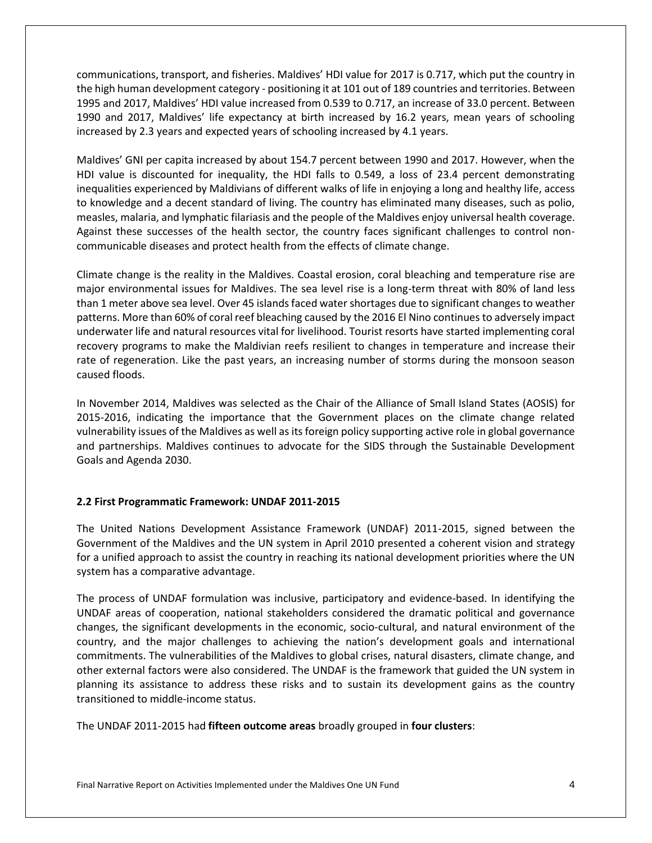communications, transport, and fisheries. Maldives' HDI value for 2017 is 0.717, which put the country in the high human development category - positioning it at 101 out of 189 countries and territories. Between 1995 and 2017, Maldives' HDI value increased from 0.539 to 0.717, an increase of 33.0 percent. Between 1990 and 2017, Maldives' life expectancy at birth increased by 16.2 years, mean years of schooling increased by 2.3 years and expected years of schooling increased by 4.1 years.

Maldives' GNI per capita increased by about 154.7 percent between 1990 and 2017. However, when the HDI value is discounted for inequality, the HDI falls to 0.549, a loss of 23.4 percent demonstrating inequalities experienced by Maldivians of different walks of life in enjoying a long and healthy life, access to knowledge and a decent standard of living. The country has eliminated many diseases, such as polio, measles, malaria, and lymphatic filariasis and the people of the Maldives enjoy universal health coverage. Against these successes of the health sector, the country faces significant challenges to control noncommunicable diseases and protect health from the effects of climate change.

Climate change is the reality in the Maldives. Coastal erosion, coral bleaching and temperature rise are major environmental issues for Maldives. The sea level rise is a long-term threat with 80% of land less than 1 meter above sea level. Over 45 islands faced water shortages due to significant changes to weather patterns. More than 60% of coral reef bleaching caused by the 2016 El Nino continues to adversely impact underwater life and natural resources vital for livelihood. Tourist resorts have started implementing coral recovery programs to make the Maldivian reefs resilient to changes in temperature and increase their rate of regeneration. Like the past years, an increasing number of storms during the monsoon season caused floods.

In November 2014, Maldives was selected as the Chair of the Alliance of Small Island States (AOSIS) for 2015-2016, indicating the importance that the Government places on the climate change related vulnerability issues of the Maldives as well as its foreign policy supporting active role in global governance and partnerships. Maldives continues to advocate for the SIDS through the Sustainable Development Goals and Agenda 2030.

# **2.2 First Programmatic Framework: UNDAF 2011-2015**

The United Nations Development Assistance Framework (UNDAF) 2011-2015, signed between the Government of the Maldives and the UN system in April 2010 presented a coherent vision and strategy for a unified approach to assist the country in reaching its national development priorities where the UN system has a comparative advantage.

The process of UNDAF formulation was inclusive, participatory and evidence‐based. In identifying the UNDAF areas of cooperation, national stakeholders considered the dramatic political and governance changes, the significant developments in the economic, socio-cultural, and natural environment of the country, and the major challenges to achieving the nation's development goals and international commitments. The vulnerabilities of the Maldives to global crises, natural disasters, climate change, and other external factors were also considered. The UNDAF is the framework that guided the UN system in planning its assistance to address these risks and to sustain its development gains as the country transitioned to middle‐income status.

The UNDAF 2011-2015 had **fifteen outcome areas** broadly grouped in **four clusters**:

Final Narrative Report on Activities Implemented under the Maldives One UN Fund 4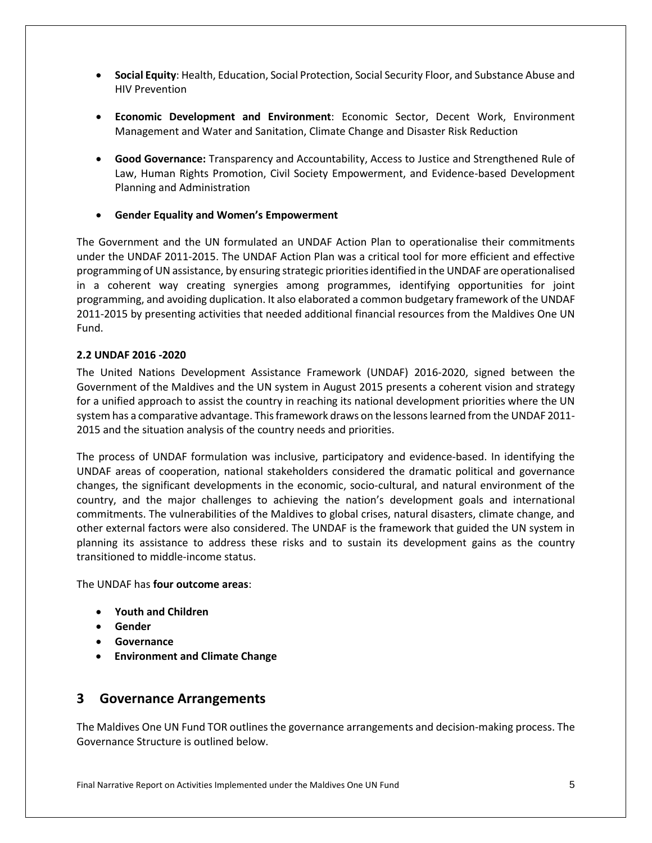- **Social Equity**: Health, Education, Social Protection, Social Security Floor, and Substance Abuse and HIV Prevention
- **Economic Development and Environment**: Economic Sector, Decent Work, Environment Management and Water and Sanitation, Climate Change and Disaster Risk Reduction
- **Good Governance:** Transparency and Accountability, Access to Justice and Strengthened Rule of Law, Human Rights Promotion, Civil Society Empowerment, and Evidence-based Development Planning and Administration
- **Gender Equality and Women's Empowerment**

The Government and the UN formulated an UNDAF Action Plan to operationalise their commitments under the UNDAF 2011-2015. The UNDAF Action Plan was a critical tool for more efficient and effective programming of UN assistance, by ensuring strategic priorities identified in the UNDAF are operationalised in a coherent way creating synergies among programmes, identifying opportunities for joint programming, and avoiding duplication. It also elaborated a common budgetary framework of the UNDAF 2011-2015 by presenting activities that needed additional financial resources from the Maldives One UN Fund.

# **2.2 UNDAF 2016 -2020**

The United Nations Development Assistance Framework (UNDAF) 2016-2020, signed between the Government of the Maldives and the UN system in August 2015 presents a coherent vision and strategy for a unified approach to assist the country in reaching its national development priorities where the UN system has a comparative advantage. This framework draws on the lessons learned from the UNDAF 2011- 2015 and the situation analysis of the country needs and priorities.

The process of UNDAF formulation was inclusive, participatory and evidence‐based. In identifying the UNDAF areas of cooperation, national stakeholders considered the dramatic political and governance changes, the significant developments in the economic, socio‐cultural, and natural environment of the country, and the major challenges to achieving the nation's development goals and international commitments. The vulnerabilities of the Maldives to global crises, natural disasters, climate change, and other external factors were also considered. The UNDAF is the framework that guided the UN system in planning its assistance to address these risks and to sustain its development gains as the country transitioned to middle‐income status.

The UNDAF has **four outcome areas**:

- **Youth and Children**
- **Gender**
- **Governance**
- **Environment and Climate Change**

# <span id="page-11-0"></span>**3 Governance Arrangements**

The Maldives One UN Fund TOR outlines the governance arrangements and decision-making process. The Governance Structure is outlined below.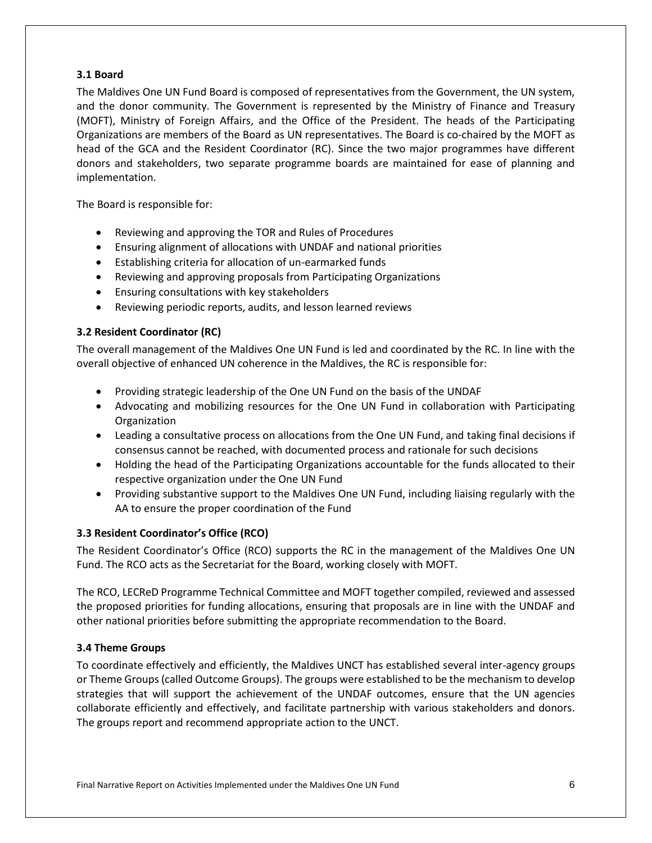# **3.1 Board**

The Maldives One UN Fund Board is composed of representatives from the Government, the UN system, and the donor community. The Government is represented by the Ministry of Finance and Treasury (MOFT), Ministry of Foreign Affairs, and the Office of the President. The heads of the Participating Organizations are members of the Board as UN representatives. The Board is co-chaired by the MOFT as head of the GCA and the Resident Coordinator (RC). Since the two major programmes have different donors and stakeholders, two separate programme boards are maintained for ease of planning and implementation.

The Board is responsible for:

- Reviewing and approving the TOR and Rules of Procedures
- Ensuring alignment of allocations with UNDAF and national priorities
- Establishing criteria for allocation of un-earmarked funds
- Reviewing and approving proposals from Participating Organizations
- Ensuring consultations with key stakeholders
- Reviewing periodic reports, audits, and lesson learned reviews

# **3.2 Resident Coordinator (RC)**

The overall management of the Maldives One UN Fund is led and coordinated by the RC. In line with the overall objective of enhanced UN coherence in the Maldives, the RC is responsible for:

- Providing strategic leadership of the One UN Fund on the basis of the UNDAF
- Advocating and mobilizing resources for the One UN Fund in collaboration with Participating **Organization**
- Leading a consultative process on allocations from the One UN Fund, and taking final decisions if consensus cannot be reached, with documented process and rationale for such decisions
- Holding the head of the Participating Organizations accountable for the funds allocated to their respective organization under the One UN Fund
- Providing substantive support to the Maldives One UN Fund, including liaising regularly with the AA to ensure the proper coordination of the Fund

# **3.3 Resident Coordinator's Office (RCO)**

The Resident Coordinator's Office (RCO) supports the RC in the management of the Maldives One UN Fund. The RCO acts as the Secretariat for the Board, working closely with MOFT.

The RCO, LECReD Programme Technical Committee and MOFT together compiled, reviewed and assessed the proposed priorities for funding allocations, ensuring that proposals are in line with the UNDAF and other national priorities before submitting the appropriate recommendation to the Board.

# **3.4 Theme Groups**

To coordinate effectively and efficiently, the Maldives UNCT has established several inter-agency groups or Theme Groups (called Outcome Groups). The groups were established to be the mechanism to develop strategies that will support the achievement of the UNDAF outcomes, ensure that the UN agencies collaborate efficiently and effectively, and facilitate partnership with various stakeholders and donors. The groups report and recommend appropriate action to the UNCT.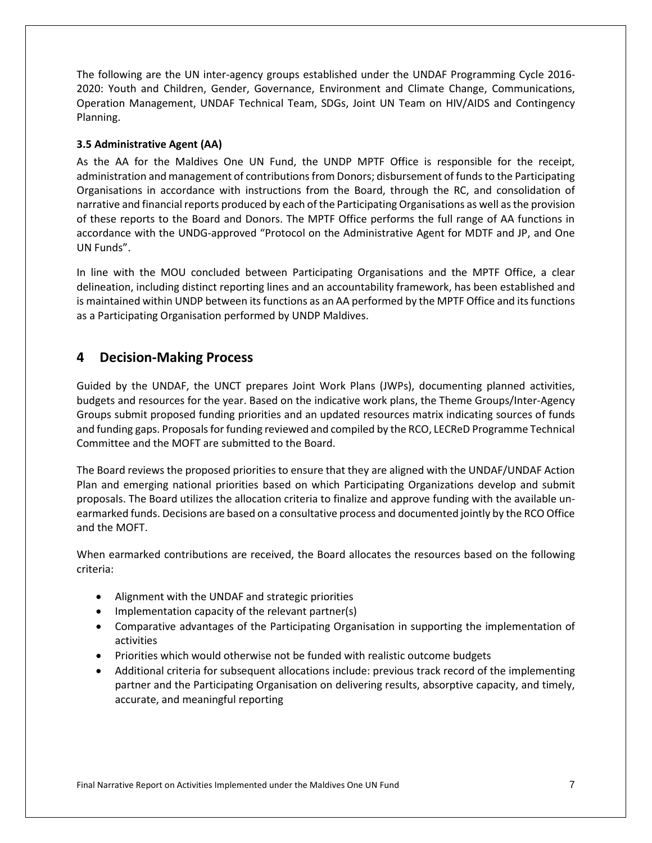The following are the UN inter-agency groups established under the UNDAF Programming Cycle 2016- 2020: Youth and Children, Gender, Governance, Environment and Climate Change, Communications, Operation Management, UNDAF Technical Team, SDGs, Joint UN Team on HIV/AIDS and Contingency Planning.

# **3.5 Administrative Agent (AA)**

As the AA for the Maldives One UN Fund, the UNDP MPTF Office is responsible for the receipt, administration and management of contributions from Donors; disbursement of funds to the Participating Organisations in accordance with instructions from the Board, through the RC, and consolidation of narrative and financial reports produced by each of the Participating Organisations as well as the provision of these reports to the Board and Donors. The MPTF Office performs the full range of AA functions in accordance with the UNDG-approved "Protocol on the Administrative Agent for MDTF and JP, and One UN Funds".

In line with the MOU concluded between Participating Organisations and the MPTF Office, a clear delineation, including distinct reporting lines and an accountability framework, has been established and is maintained within UNDP between its functions as an AA performed by the MPTF Office and its functions as a Participating Organisation performed by UNDP Maldives.

# <span id="page-13-0"></span>**4 Decision-Making Process**

Guided by the UNDAF, the UNCT prepares Joint Work Plans (JWPs), documenting planned activities, budgets and resources for the year. Based on the indicative work plans, the Theme Groups/Inter-Agency Groups submit proposed funding priorities and an updated resources matrix indicating sources of funds and funding gaps. Proposals for funding reviewed and compiled by the RCO, LECReD Programme Technical Committee and the MOFT are submitted to the Board.

The Board reviews the proposed priorities to ensure that they are aligned with the UNDAF/UNDAF Action Plan and emerging national priorities based on which Participating Organizations develop and submit proposals. The Board utilizes the allocation criteria to finalize and approve funding with the available unearmarked funds. Decisions are based on a consultative process and documented jointly by the RCO Office and the MOFT.

When earmarked contributions are received, the Board allocates the resources based on the following criteria:

- Alignment with the UNDAF and strategic priorities
- Implementation capacity of the relevant partner(s)
- Comparative advantages of the Participating Organisation in supporting the implementation of activities
- Priorities which would otherwise not be funded with realistic outcome budgets
- Additional criteria for subsequent allocations include: previous track record of the implementing partner and the Participating Organisation on delivering results, absorptive capacity, and timely, accurate, and meaningful reporting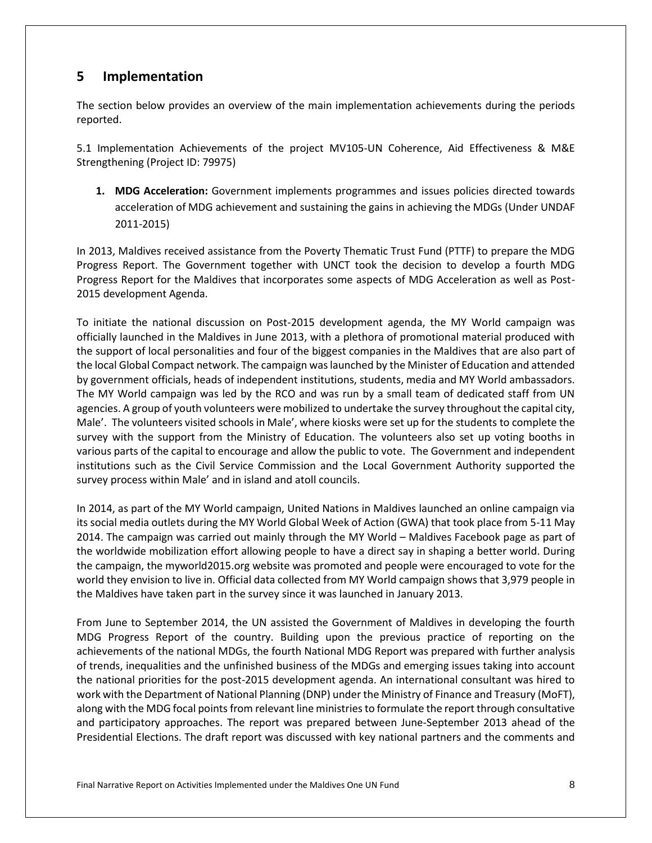# <span id="page-14-0"></span>**5 Implementation**

The section below provides an overview of the main implementation achievements during the periods reported.

5.1 Implementation Achievements of the project MV105-UN Coherence, Aid Effectiveness & M&E Strengthening (Project ID: [79975\)](http://mptf.undp.org/factsheet/project/00079975)

**1. MDG Acceleration:** Government implements programmes and issues policies directed towards acceleration of MDG achievement and sustaining the gains in achieving the MDGs (Under UNDAF 2011-2015)

In 2013, Maldives received assistance from the Poverty Thematic Trust Fund (PTTF) to prepare the MDG Progress Report. The Government together with UNCT took the decision to develop a fourth MDG Progress Report for the Maldives that incorporates some aspects of MDG Acceleration as well as Post-2015 development Agenda.

To initiate the national discussion on Post-2015 development agenda, the MY World campaign was officially launched in the Maldives in June 2013, with a plethora of promotional material produced with the support of local personalities and four of the biggest companies in the Maldives that are also part of the local Global Compact network. The campaign was launched by the Minister of Education and attended by government officials, heads of independent institutions, students, media and MY World ambassadors. The MY World campaign was led by the RCO and was run by a small team of dedicated staff from UN agencies. A group of youth volunteers were mobilized to undertake the survey throughout the capital city, Male'. The volunteers visited schools in Male', where kiosks were set up for the students to complete the survey with the support from the Ministry of Education. The volunteers also set up voting booths in various parts of the capital to encourage and allow the public to vote. The Government and independent institutions such as the Civil Service Commission and the Local Government Authority supported the survey process within Male' and in island and atoll councils.

In 2014, as part of the MY World campaign, United Nations in Maldives launched an online campaign via its social media outlets during the MY World Global Week of Action (GWA) that took place from 5-11 May 2014. The campaign was carried out mainly through the MY World – Maldives Facebook page as part of the worldwide mobilization effort allowing people to have a direct say in shaping a better world. During the campaign, the myworld2015.org website was promoted and people were encouraged to vote for the world they envision to live in. Official data collected from MY World campaign shows that 3,979 people in the Maldives have taken part in the survey since it was launched in January 2013.

From June to September 2014, the UN assisted the Government of Maldives in developing the fourth MDG Progress Report of the country. Building upon the previous practice of reporting on the achievements of the national MDGs, the fourth National MDG Report was prepared with further analysis of trends, inequalities and the unfinished business of the MDGs and emerging issues taking into account the national priorities for the post-2015 development agenda. An international consultant was hired to work with the Department of National Planning (DNP) under the Ministry of Finance and Treasury (MoFT), along with the MDG focal points from relevant line ministries to formulate the report through consultative and participatory approaches. The report was prepared between June-September 2013 ahead of the Presidential Elections. The draft report was discussed with key national partners and the comments and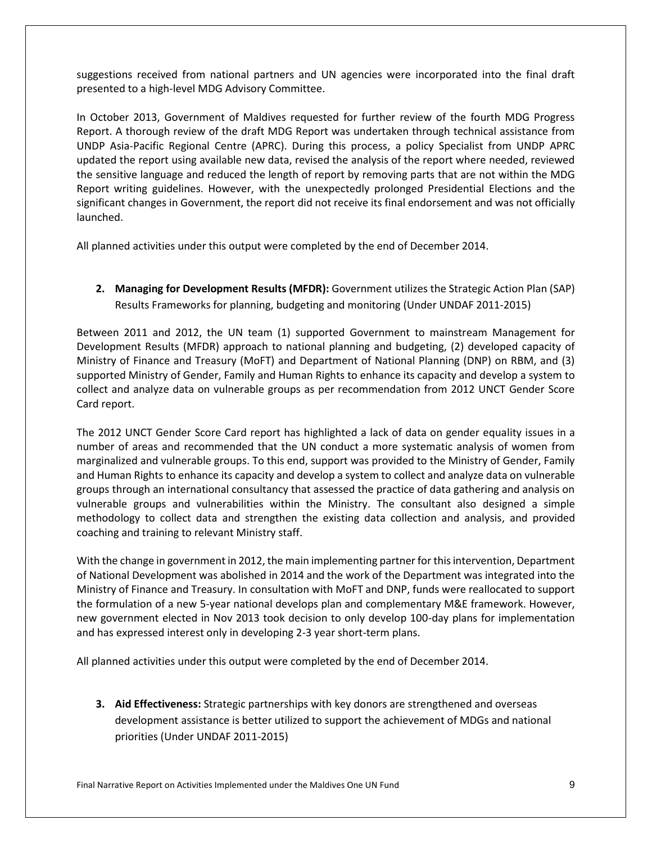suggestions received from national partners and UN agencies were incorporated into the final draft presented to a high-level MDG Advisory Committee.

In October 2013, Government of Maldives requested for further review of the fourth MDG Progress Report. A thorough review of the draft MDG Report was undertaken through technical assistance from UNDP Asia-Pacific Regional Centre (APRC). During this process, a policy Specialist from UNDP APRC updated the report using available new data, revised the analysis of the report where needed, reviewed the sensitive language and reduced the length of report by removing parts that are not within the MDG Report writing guidelines. However, with the unexpectedly prolonged Presidential Elections and the significant changes in Government, the report did not receive its final endorsement and was not officially launched.

All planned activities under this output were completed by the end of December 2014.

**2. Managing for Development Results (MFDR):** Government utilizes the Strategic Action Plan (SAP) Results Frameworks for planning, budgeting and monitoring (Under UNDAF 2011-2015)

Between 2011 and 2012, the UN team (1) supported Government to mainstream Management for Development Results (MFDR) approach to national planning and budgeting, (2) developed capacity of Ministry of Finance and Treasury (MoFT) and Department of National Planning (DNP) on RBM, and (3) supported Ministry of Gender, Family and Human Rights to enhance its capacity and develop a system to collect and analyze data on vulnerable groups as per recommendation from 2012 UNCT Gender Score Card report.

The 2012 UNCT Gender Score Card report has highlighted a lack of data on gender equality issues in a number of areas and recommended that the UN conduct a more systematic analysis of women from marginalized and vulnerable groups. To this end, support was provided to the Ministry of Gender, Family and Human Rights to enhance its capacity and develop a system to collect and analyze data on vulnerable groups through an international consultancy that assessed the practice of data gathering and analysis on vulnerable groups and vulnerabilities within the Ministry. The consultant also designed a simple methodology to collect data and strengthen the existing data collection and analysis, and provided coaching and training to relevant Ministry staff.

With the change in government in 2012, the main implementing partner for this intervention, Department of National Development was abolished in 2014 and the work of the Department was integrated into the Ministry of Finance and Treasury. In consultation with MoFT and DNP, funds were reallocated to support the formulation of a new 5-year national develops plan and complementary M&E framework. However, new government elected in Nov 2013 took decision to only develop 100-day plans for implementation and has expressed interest only in developing 2-3 year short-term plans.

All planned activities under this output were completed by the end of December 2014.

**3. Aid Effectiveness:** Strategic partnerships with key donors are strengthened and overseas development assistance is better utilized to support the achievement of MDGs and national priorities (Under UNDAF 2011-2015)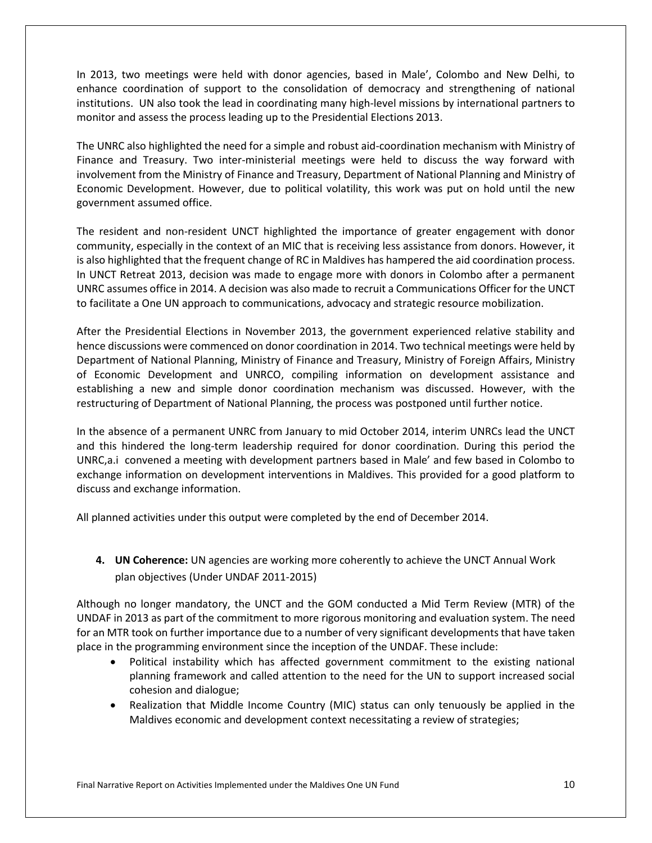In 2013, two meetings were held with donor agencies, based in Male', Colombo and New Delhi, to enhance coordination of support to the consolidation of democracy and strengthening of national institutions. UN also took the lead in coordinating many high-level missions by international partners to monitor and assess the process leading up to the Presidential Elections 2013.

The UNRC also highlighted the need for a simple and robust aid-coordination mechanism with Ministry of Finance and Treasury. Two inter-ministerial meetings were held to discuss the way forward with involvement from the Ministry of Finance and Treasury, Department of National Planning and Ministry of Economic Development. However, due to political volatility, this work was put on hold until the new government assumed office.

The resident and non-resident UNCT highlighted the importance of greater engagement with donor community, especially in the context of an MIC that is receiving less assistance from donors. However, it is also highlighted that the frequent change of RC in Maldives has hampered the aid coordination process. In UNCT Retreat 2013, decision was made to engage more with donors in Colombo after a permanent UNRC assumes office in 2014. A decision was also made to recruit a Communications Officer for the UNCT to facilitate a One UN approach to communications, advocacy and strategic resource mobilization.

After the Presidential Elections in November 2013, the government experienced relative stability and hence discussions were commenced on donor coordination in 2014. Two technical meetings were held by Department of National Planning, Ministry of Finance and Treasury, Ministry of Foreign Affairs, Ministry of Economic Development and UNRCO, compiling information on development assistance and establishing a new and simple donor coordination mechanism was discussed. However, with the restructuring of Department of National Planning, the process was postponed until further notice.

In the absence of a permanent UNRC from January to mid October 2014, interim UNRCs lead the UNCT and this hindered the long-term leadership required for donor coordination. During this period the UNRC,a.i convened a meeting with development partners based in Male' and few based in Colombo to exchange information on development interventions in Maldives. This provided for a good platform to discuss and exchange information.

All planned activities under this output were completed by the end of December 2014.

**4. UN Coherence:** UN agencies are working more coherently to achieve the UNCT Annual Work plan objectives (Under UNDAF 2011-2015)

Although no longer mandatory, the UNCT and the GOM conducted a Mid Term Review (MTR) of the UNDAF in 2013 as part of the commitment to more rigorous monitoring and evaluation system. The need for an MTR took on further importance due to a number of very significant developments that have taken place in the programming environment since the inception of the UNDAF. These include:

- Political instability which has affected government commitment to the existing national planning framework and called attention to the need for the UN to support increased social cohesion and dialogue;
- Realization that Middle Income Country (MIC) status can only tenuously be applied in the Maldives economic and development context necessitating a review of strategies;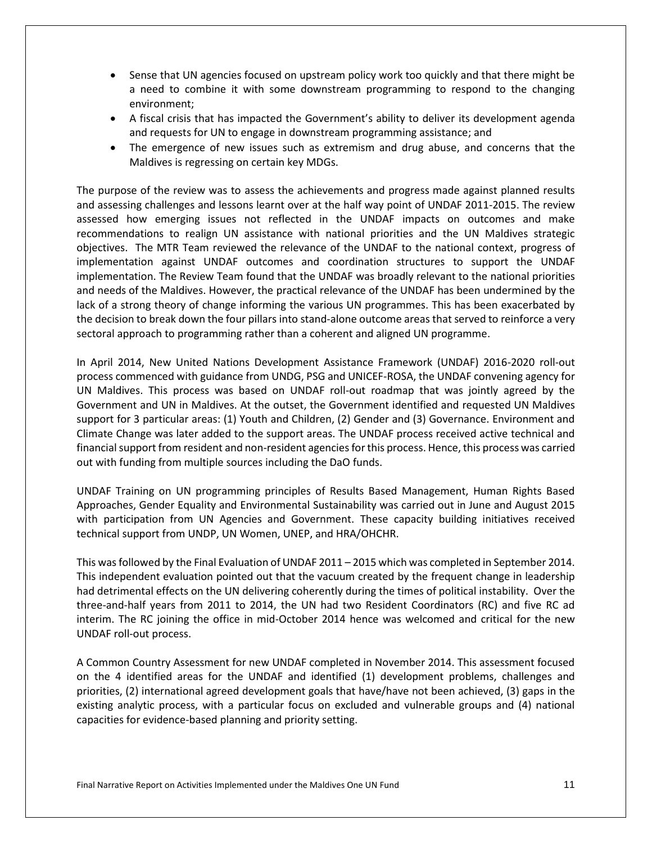- Sense that UN agencies focused on upstream policy work too quickly and that there might be a need to combine it with some downstream programming to respond to the changing environment;
- A fiscal crisis that has impacted the Government's ability to deliver its development agenda and requests for UN to engage in downstream programming assistance; and
- The emergence of new issues such as extremism and drug abuse, and concerns that the Maldives is regressing on certain key MDGs.

The purpose of the review was to assess the achievements and progress made against planned results and assessing challenges and lessons learnt over at the half way point of UNDAF 2011-2015. The review assessed how emerging issues not reflected in the UNDAF impacts on outcomes and make recommendations to realign UN assistance with national priorities and the UN Maldives strategic objectives. The MTR Team reviewed the relevance of the UNDAF to the national context, progress of implementation against UNDAF outcomes and coordination structures to support the UNDAF implementation. The Review Team found that the UNDAF was broadly relevant to the national priorities and needs of the Maldives. However, the practical relevance of the UNDAF has been undermined by the lack of a strong theory of change informing the various UN programmes. This has been exacerbated by the decision to break down the four pillars into stand-alone outcome areas that served to reinforce a very sectoral approach to programming rather than a coherent and aligned UN programme.

In April 2014, New United Nations Development Assistance Framework (UNDAF) 2016-2020 roll-out process commenced with guidance from UNDG, PSG and UNICEF-ROSA, the UNDAF convening agency for UN Maldives. This process was based on UNDAF roll-out roadmap that was jointly agreed by the Government and UN in Maldives. At the outset, the Government identified and requested UN Maldives support for 3 particular areas: (1) Youth and Children, (2) Gender and (3) Governance. Environment and Climate Change was later added to the support areas. The UNDAF process received active technical and financial support from resident and non-resident agencies for this process. Hence, this process was carried out with funding from multiple sources including the DaO funds.

UNDAF Training on UN programming principles of Results Based Management, Human Rights Based Approaches, Gender Equality and Environmental Sustainability was carried out in June and August 2015 with participation from UN Agencies and Government. These capacity building initiatives received technical support from UNDP, UN Women, UNEP, and HRA/OHCHR.

This was followed by the Final Evaluation of UNDAF 2011 – 2015 which was completed in September 2014. This independent evaluation pointed out that the vacuum created by the frequent change in leadership had detrimental effects on the UN delivering coherently during the times of political instability. Over the three-and-half years from 2011 to 2014, the UN had two Resident Coordinators (RC) and five RC ad interim. The RC joining the office in mid-October 2014 hence was welcomed and critical for the new UNDAF roll-out process.

A Common Country Assessment for new UNDAF completed in November 2014. This assessment focused on the 4 identified areas for the UNDAF and identified (1) development problems, challenges and priorities, (2) international agreed development goals that have/have not been achieved, (3) gaps in the existing analytic process, with a particular focus on excluded and vulnerable groups and (4) national capacities for evidence-based planning and priority setting.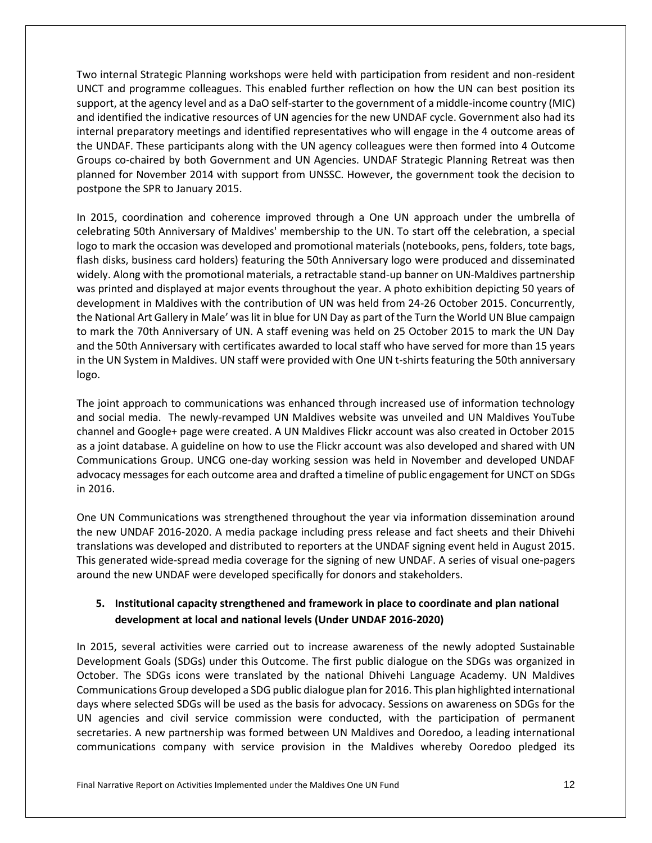Two internal Strategic Planning workshops were held with participation from resident and non-resident UNCT and programme colleagues. This enabled further reflection on how the UN can best position its support, at the agency level and as a DaO self-starter to the government of a middle-income country (MIC) and identified the indicative resources of UN agencies for the new UNDAF cycle. Government also had its internal preparatory meetings and identified representatives who will engage in the 4 outcome areas of the UNDAF. These participants along with the UN agency colleagues were then formed into 4 Outcome Groups co-chaired by both Government and UN Agencies. UNDAF Strategic Planning Retreat was then planned for November 2014 with support from UNSSC. However, the government took the decision to postpone the SPR to January 2015.

In 2015, coordination and coherence improved through a One UN approach under the umbrella of celebrating 50th Anniversary of Maldives' membership to the UN. To start off the celebration, a special logo to mark the occasion was developed and promotional materials (notebooks, pens, folders, tote bags, flash disks, business card holders) featuring the 50th Anniversary logo were produced and disseminated widely. Along with the promotional materials, a retractable stand-up banner on UN-Maldives partnership was printed and displayed at major events throughout the year. A photo exhibition depicting 50 years of development in Maldives with the contribution of UN was held from 24-26 October 2015. Concurrently, the National Art Gallery in Male' was lit in blue for UN Day as part of the Turn the World UN Blue campaign to mark the 70th Anniversary of UN. A staff evening was held on 25 October 2015 to mark the UN Day and the 50th Anniversary with certificates awarded to local staff who have served for more than 15 years in the UN System in Maldives. UN staff were provided with One UN t-shirts featuring the 50th anniversary logo.

The joint approach to communications was enhanced through increased use of information technology and social media. The newly-revamped UN Maldives website was unveiled and UN Maldives YouTube channel and Google+ page were created. A UN Maldives Flickr account was also created in October 2015 as a joint database. A guideline on how to use the Flickr account was also developed and shared with UN Communications Group. UNCG one-day working session was held in November and developed UNDAF advocacy messages for each outcome area and drafted a timeline of public engagement for UNCT on SDGs in 2016.

One UN Communications was strengthened throughout the year via information dissemination around the new UNDAF 2016-2020. A media package including press release and fact sheets and their Dhivehi translations was developed and distributed to reporters at the UNDAF signing event held in August 2015. This generated wide-spread media coverage for the signing of new UNDAF. A series of visual one-pagers around the new UNDAF were developed specifically for donors and stakeholders.

# **5. Institutional capacity strengthened and framework in place to coordinate and plan national development at local and national levels (Under UNDAF 2016-2020)**

In 2015, several activities were carried out to increase awareness of the newly adopted Sustainable Development Goals (SDGs) under this Outcome. The first public dialogue on the SDGs was organized in October. The SDGs icons were translated by the national Dhivehi Language Academy. UN Maldives Communications Group developed a SDG public dialogue plan for 2016. This plan highlighted international days where selected SDGs will be used as the basis for advocacy. Sessions on awareness on SDGs for the UN agencies and civil service commission were conducted, with the participation of permanent secretaries. A new partnership was formed between UN Maldives and Ooredoo, a leading international communications company with service provision in the Maldives whereby Ooredoo pledged its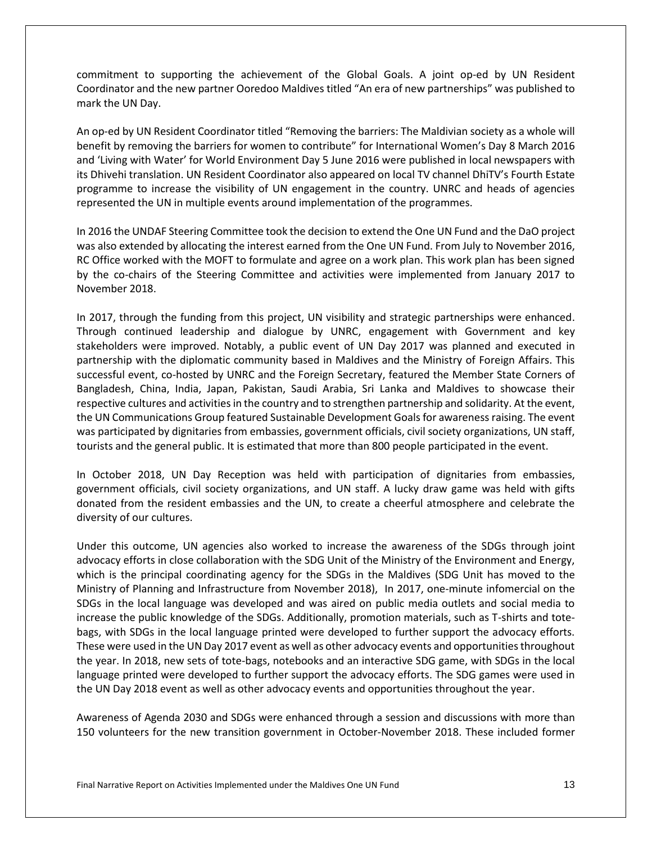commitment to supporting the achievement of the Global Goals. A joint op-ed by UN Resident Coordinator and the new partner Ooredoo Maldives titled "An era of new partnerships" was published to mark the UN Day.

An op-ed by UN Resident Coordinator titled "Removing the barriers: The Maldivian society as a whole will benefit by removing the barriers for women to contribute" for International Women's Day 8 March 2016 and 'Living with Water' for World Environment Day 5 June 2016 were published in local newspapers with its Dhivehi translation. UN Resident Coordinator also appeared on local TV channel DhiTV's Fourth Estate programme to increase the visibility of UN engagement in the country. UNRC and heads of agencies represented the UN in multiple events around implementation of the programmes.

In 2016 the UNDAF Steering Committee took the decision to extend the One UN Fund and the DaO project was also extended by allocating the interest earned from the One UN Fund. From July to November 2016, RC Office worked with the MOFT to formulate and agree on a work plan. This work plan has been signed by the co-chairs of the Steering Committee and activities were implemented from January 2017 to November 2018.

In 2017, through the funding from this project, UN visibility and strategic partnerships were enhanced. Through continued leadership and dialogue by UNRC, engagement with Government and key stakeholders were improved. Notably, a public event of UN Day 2017 was planned and executed in partnership with the diplomatic community based in Maldives and the Ministry of Foreign Affairs. This successful event, co-hosted by UNRC and the Foreign Secretary, featured the Member State Corners of Bangladesh, China, India, Japan, Pakistan, Saudi Arabia, Sri Lanka and Maldives to showcase their respective cultures and activities in the country and to strengthen partnership and solidarity. At the event, the UN Communications Group featured Sustainable Development Goals for awareness raising. The event was participated by dignitaries from embassies, government officials, civil society organizations, UN staff, tourists and the general public. It is estimated that more than 800 people participated in the event.

In October 2018, UN Day Reception was held with participation of dignitaries from embassies, government officials, civil society organizations, and UN staff. A lucky draw game was held with gifts donated from the resident embassies and the UN, to create a cheerful atmosphere and celebrate the diversity of our cultures.

Under this outcome, UN agencies also worked to increase the awareness of the SDGs through joint advocacy efforts in close collaboration with the SDG Unit of the Ministry of the Environment and Energy, which is the principal coordinating agency for the SDGs in the Maldives (SDG Unit has moved to the Ministry of Planning and Infrastructure from November 2018), In 2017, one-minute infomercial on the SDGs in the local language was developed and was aired on public media outlets and social media to increase the public knowledge of the SDGs. Additionally, promotion materials, such as T-shirts and totebags, with SDGs in the local language printed were developed to further support the advocacy efforts. These were used in the UN Day 2017 event as well as other advocacy events and opportunities throughout the year. In 2018, new sets of tote-bags, notebooks and an interactive SDG game, with SDGs in the local language printed were developed to further support the advocacy efforts. The SDG games were used in the UN Day 2018 event as well as other advocacy events and opportunities throughout the year.

Awareness of Agenda 2030 and SDGs were enhanced through a session and discussions with more than 150 volunteers for the new transition government in October-November 2018. These included former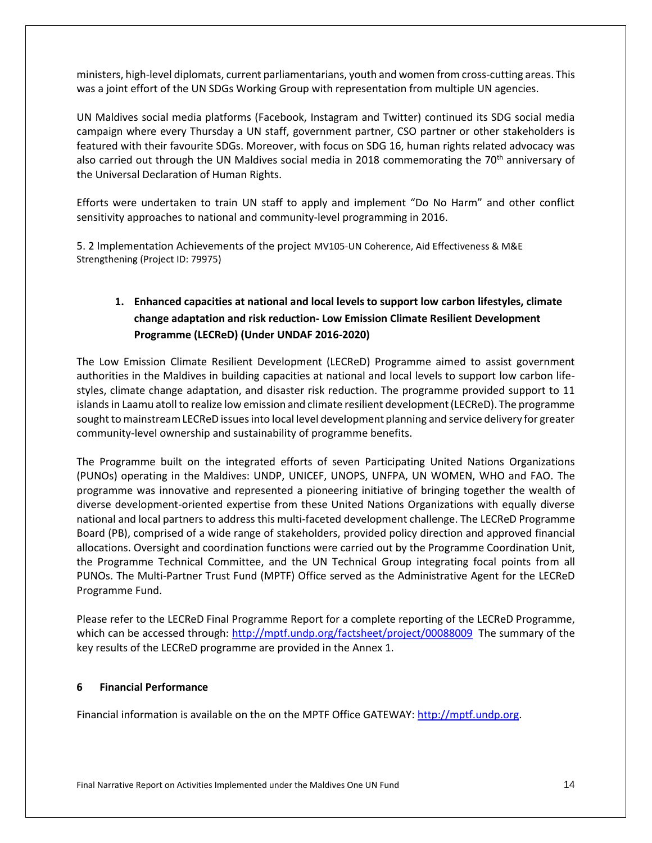ministers, high-level diplomats, current parliamentarians, youth and women from cross-cutting areas. This was a joint effort of the UN SDGs Working Group with representation from multiple UN agencies.

UN Maldives social media platforms (Facebook, Instagram and Twitter) continued its SDG social media campaign where every Thursday a UN staff, government partner, CSO partner or other stakeholders is featured with their favourite SDGs. Moreover, with focus on SDG 16, human rights related advocacy was also carried out through the UN Maldives social media in 2018 commemorating the  $70<sup>th</sup>$  anniversary of the Universal Declaration of Human Rights.

Efforts were undertaken to train UN staff to apply and implement "Do No Harm" and other conflict sensitivity approaches to national and community-level programming in 2016.

5. 2 Implementation Achievements of the project MV105-UN Coherence, Aid Effectiveness & M&E Strengthening (Project ID[: 79975\)](http://mptf.undp.org/factsheet/project/00079975)

# **1. Enhanced capacities at national and local levels to support low carbon lifestyles, climate change adaptation and risk reduction- Low Emission Climate Resilient Development Programme (LECReD) (Under UNDAF 2016-2020)**

The Low Emission Climate Resilient Development (LECReD) Programme aimed to assist government authorities in the Maldives in building capacities at national and local levels to support low carbon lifestyles, climate change adaptation, and disaster risk reduction. The programme provided support to 11 islands in Laamu atoll to realize low emission and climate resilient development (LECReD). The programme sought to mainstream LECReD issues into local level development planning and service delivery for greater community-level ownership and sustainability of programme benefits.

The Programme built on the integrated efforts of seven Participating United Nations Organizations (PUNOs) operating in the Maldives: UNDP, UNICEF, UNOPS, UNFPA, UN WOMEN, WHO and FAO. The programme was innovative and represented a pioneering initiative of bringing together the wealth of diverse development-oriented expertise from these United Nations Organizations with equally diverse national and local partners to address this multi-faceted development challenge. The LECReD Programme Board (PB), comprised of a wide range of stakeholders, provided policy direction and approved financial allocations. Oversight and coordination functions were carried out by the Programme Coordination Unit, the Programme Technical Committee, and the UN Technical Group integrating focal points from all PUNOs. The Multi-Partner Trust Fund (MPTF) Office served as the Administrative Agent for the LECReD Programme Fund.

Please refer to the LECReD Final Programme Report for a complete reporting of the LECReD Programme, which can be accessed through[: http://mptf.undp.org/factsheet/project/00088009](http://mptf.undp.org/factsheet/project/00088009) The summary of the key results of the LECReD programme are provided in the Annex 1.

# <span id="page-20-0"></span>**6 Financial Performance**

Financial information is available on the on the MPTF Office GATEWAY: [http://mptf.undp.org.](http://mptf.undp.org/)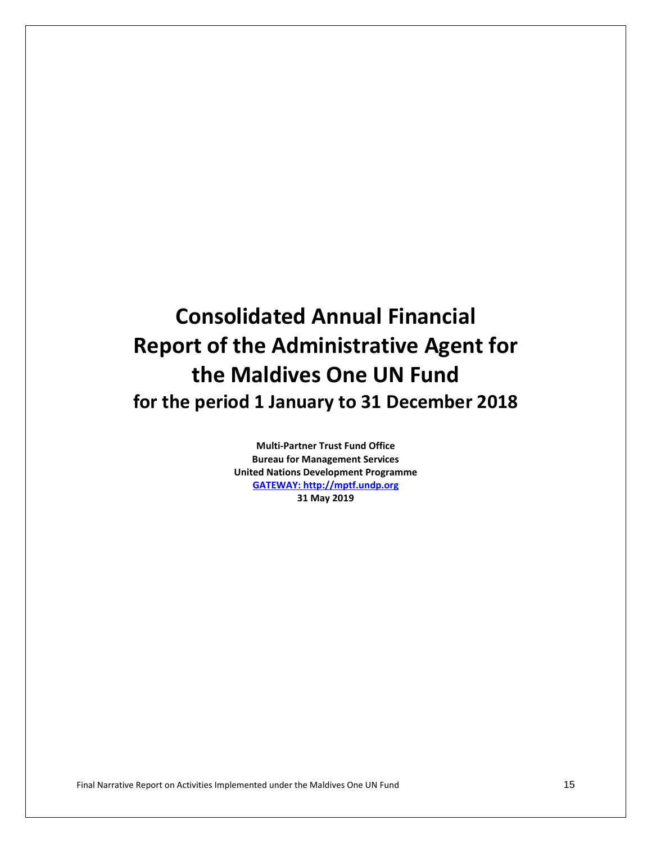# **Consolidated Annual Financial Report of the Administrative Agent for the Maldives One UN Fund for the period 1 January to 31 December 2018**

**Multi-Partner Trust Fund Office Bureau for Management Services United Nations Development Programme [GATEWAY: http://mptf.undp.org](http://mptf.undp.org/) 31 May 2019**

Final Narrative Report on Activities Implemented under the Maldives One UN Fund 15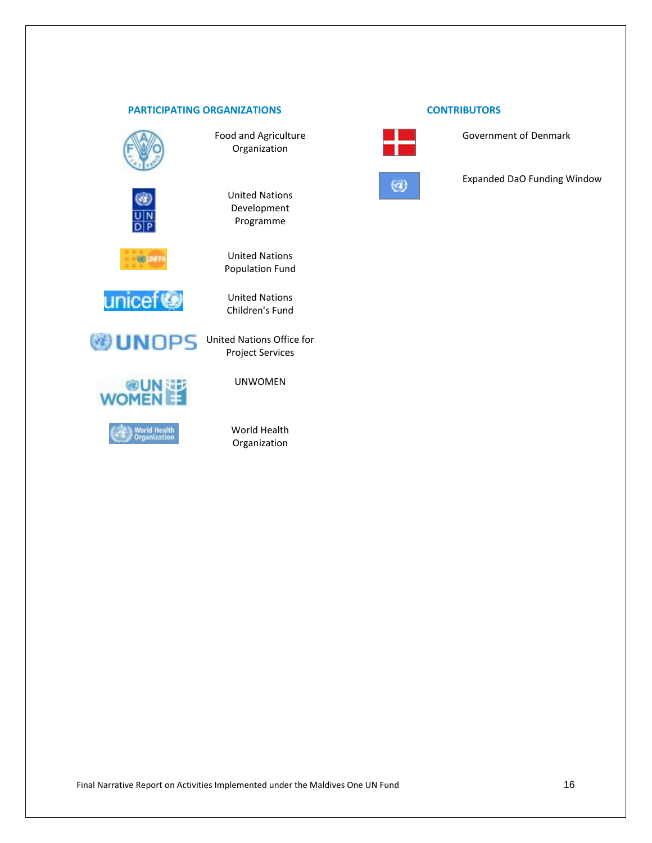## **PARTICIPATING ORGANIZATIONS CONTRIBUTORS**



Food and Agriculture Organization



United Nations Development Programme



United Nations

Population Fund

United Nations Children's Fund



**WUNDPS** United Nations Office for





Project Services UNWOMEN

World Health Organization



Government of Denmark



Expanded DaO Funding Window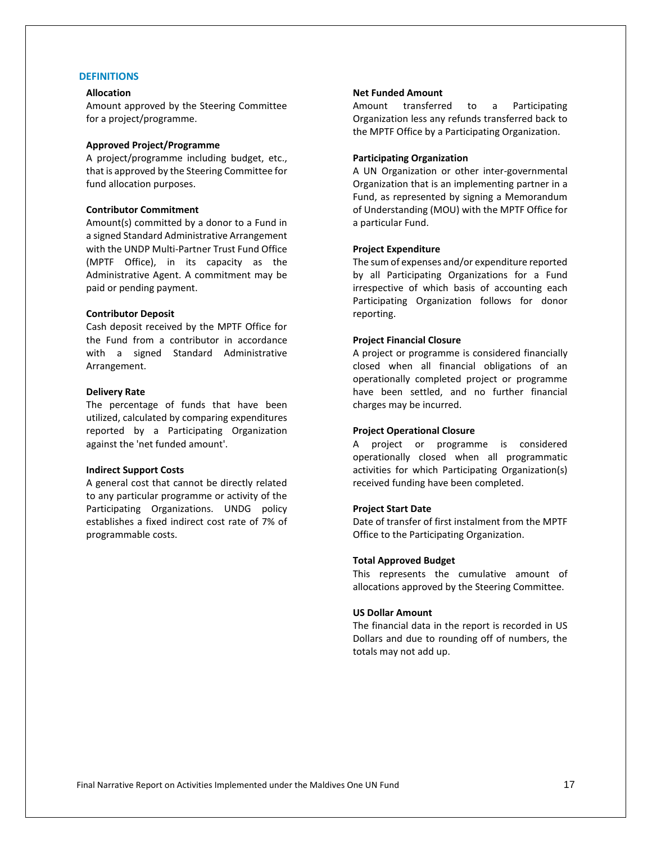#### **DEFINITIONS**

#### **Allocation**

Amount approved by the Steering Committee for a project/programme.

#### **Approved Project/Programme**

A project/programme including budget, etc., that is approved by the Steering Committee for fund allocation purposes.

#### **Contributor Commitment**

Amount(s) committed by a donor to a Fund in a signed Standard Administrative Arrangement with the UNDP Multi-Partner Trust Fund Office (MPTF Office), in its capacity as the Administrative Agent. A commitment may be paid or pending payment.

#### **Contributor Deposit**

Cash deposit received by the MPTF Office for the Fund from a contributor in accordance with a signed Standard Administrative Arrangement.

#### **Delivery Rate**

The percentage of funds that have been utilized, calculated by comparing expenditures reported by a Participating Organization against the 'net funded amount'.

#### **Indirect Support Costs**

A general cost that cannot be directly related to any particular programme or activity of the Participating Organizations. UNDG policy establishes a fixed indirect cost rate of 7% of programmable costs.

#### **Net Funded Amount**

Amount transferred to a Participating Organization less any refunds transferred back to the MPTF Office by a Participating Organization.

#### **Participating Organization**

A UN Organization or other inter-governmental Organization that is an implementing partner in a Fund, as represented by signing a Memorandum of Understanding (MOU) with the MPTF Office for a particular Fund.

#### **Project Expenditure**

The sum of expenses and/or expenditure reported by all Participating Organizations for a Fund irrespective of which basis of accounting each Participating Organization follows for donor reporting.

#### **Project Financial Closure**

A project or programme is considered financially closed when all financial obligations of an operationally completed project or programme have been settled, and no further financial charges may be incurred.

#### **Project Operational Closure**

A project or programme is considered operationally closed when all programmatic activities for which Participating Organization(s) received funding have been completed.

#### **Project Start Date**

Date of transfer of first instalment from the MPTF Office to the Participating Organization.

#### **Total Approved Budget**

This represents the cumulative amount of allocations approved by the Steering Committee.

#### **US Dollar Amount**

The financial data in the report is recorded in US Dollars and due to rounding off of numbers, the totals may not add up.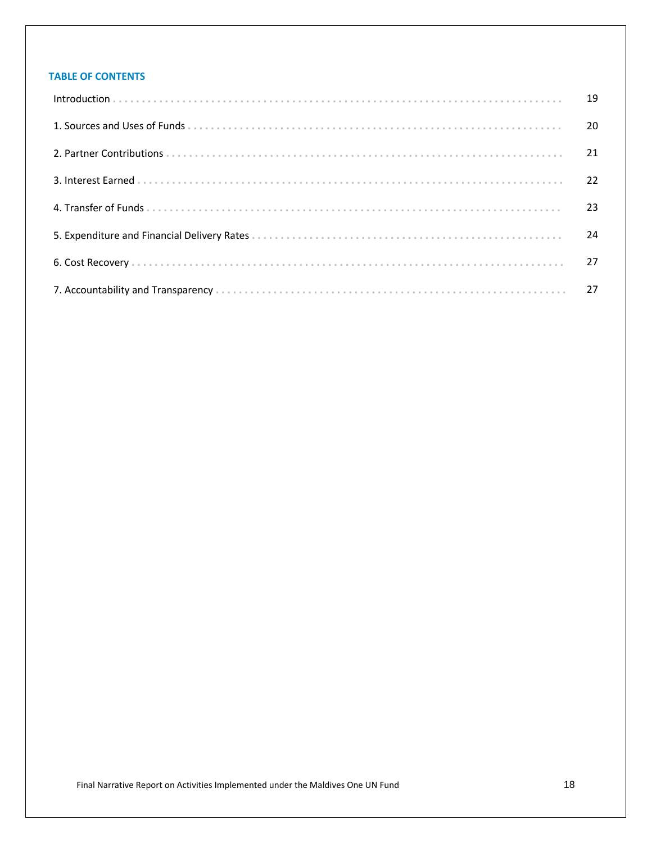# **TABLE OF CONTENTS**

| 19 |
|----|
| 20 |
| 21 |
| 22 |
| 23 |
| 24 |
| 27 |
|    |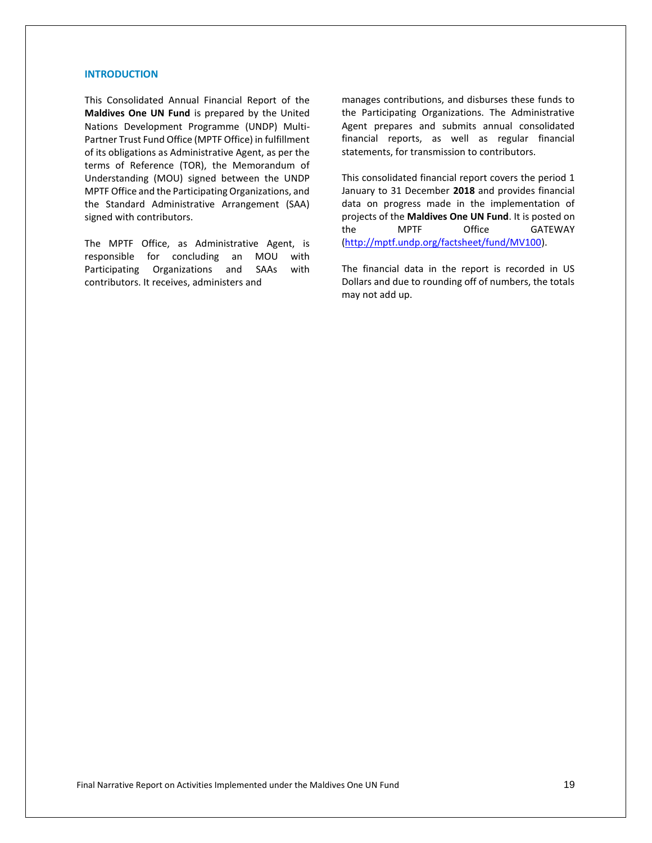## **INTRODUCTION**

This Consolidated Annual Financial Report of the **Maldives One UN Fund** is prepared by the United Nations Development Programme (UNDP) Multi-Partner Trust Fund Office (MPTF Office) in fulfillment of its obligations as Administrative Agent, as per the terms of Reference (TOR), the Memorandum of Understanding (MOU) signed between the UNDP MPTF Office and the Participating Organizations, and the Standard Administrative Arrangement (SAA) signed with contributors.

The MPTF Office, as Administrative Agent, is responsible for concluding an MOU with Participating Organizations and SAAs with contributors. It receives, administers and

manages contributions, and disburses these funds to the Participating Organizations. The Administrative Agent prepares and submits annual consolidated financial reports, as well as regular financial statements, for transmission to contributors.

This consolidated financial report covers the period 1 January to 31 December **2018** and provides financial data on progress made in the implementation of projects of the **Maldives One UN Fund**. It is posted on the MPTF Office GATEWAY [\(http://mptf.undp.org/factsheet/fund/MV100\)](http://mptf.undp.org/factsheet/fund/MV100).

The financial data in the report is recorded in US Dollars and due to rounding off of numbers, the totals may not add up.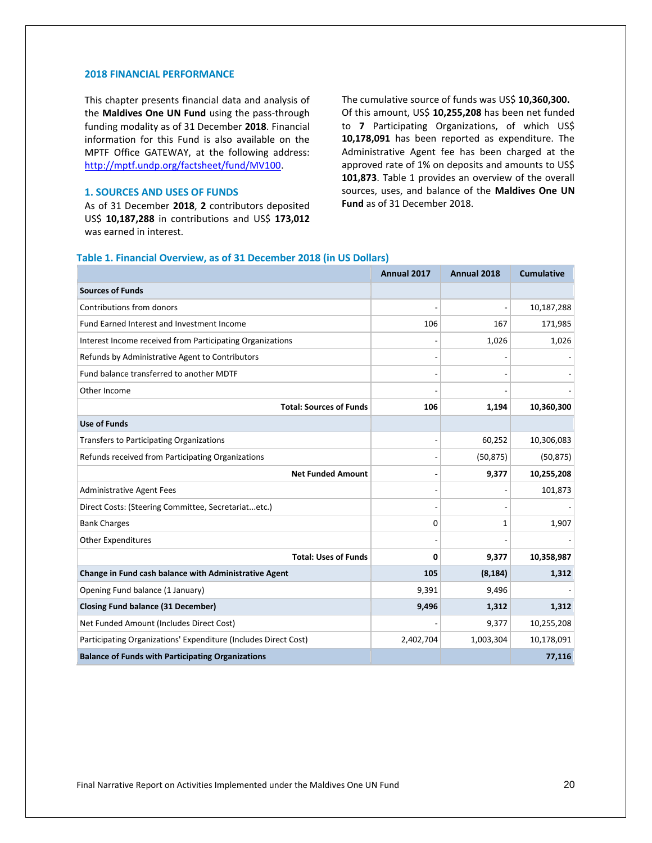#### **2018 FINANCIAL PERFORMANCE**

This chapter presents financial data and analysis of the **Maldives One UN Fund** using the pass-through funding modality as of 31 December **2018**. Financial information for this Fund is also available on the MPTF Office GATEWAY, at the following address: [http://mptf.undp.org/factsheet/fund/MV100.](http://mptf.undp.org/factsheet/fund/MV100)

## **1. SOURCES AND USES OF FUNDS**

As of 31 December **2018**, **2** contributors deposited US\$ **10,187,288** in contributions and US\$ **173,012** was earned in interest.

The cumulative source of funds was US\$ **10,360,300.**  Of this amount, US\$ **10,255,208** has been net funded to **7** Participating Organizations, of which US\$ **10,178,091** has been reported as expenditure. The Administrative Agent fee has been charged at the approved rate of 1% on deposits and amounts to US\$ **101,873**. Table 1 provides an overview of the overall sources, uses, and balance of the **Maldives One UN Fund** as of 31 December 2018.

#### **Table 1. Financial Overview, as of 31 December 2018 (in US Dollars)**

|                                                                 | Annual 2017 | Annual 2018 | <b>Cumulative</b> |
|-----------------------------------------------------------------|-------------|-------------|-------------------|
| <b>Sources of Funds</b>                                         |             |             |                   |
| Contributions from donors                                       |             |             | 10,187,288        |
| Fund Earned Interest and Investment Income                      | 106         | 167         | 171,985           |
| Interest Income received from Participating Organizations       |             | 1,026       | 1,026             |
| Refunds by Administrative Agent to Contributors                 |             |             |                   |
| Fund balance transferred to another MDTF                        |             |             |                   |
| Other Income                                                    |             |             |                   |
| <b>Total: Sources of Funds</b>                                  | 106         | 1,194       | 10,360,300        |
| <b>Use of Funds</b>                                             |             |             |                   |
| <b>Transfers to Participating Organizations</b>                 |             | 60,252      | 10,306,083        |
| Refunds received from Participating Organizations               |             | (50, 875)   | (50, 875)         |
| <b>Net Funded Amount</b>                                        |             | 9,377       | 10,255,208        |
| <b>Administrative Agent Fees</b>                                |             |             | 101,873           |
| Direct Costs: (Steering Committee, Secretariatetc.)             |             |             |                   |
| <b>Bank Charges</b>                                             | $\Omega$    | 1           | 1,907             |
| <b>Other Expenditures</b>                                       |             |             |                   |
| <b>Total: Uses of Funds</b>                                     | $\Omega$    | 9,377       | 10,358,987        |
| Change in Fund cash balance with Administrative Agent           | 105         | (8, 184)    | 1,312             |
| Opening Fund balance (1 January)                                | 9,391       | 9,496       |                   |
| <b>Closing Fund balance (31 December)</b>                       | 9,496       | 1,312       | 1,312             |
| Net Funded Amount (Includes Direct Cost)                        |             | 9,377       | 10,255,208        |
| Participating Organizations' Expenditure (Includes Direct Cost) | 2,402,704   | 1,003,304   | 10,178,091        |
| <b>Balance of Funds with Participating Organizations</b>        |             |             | 77,116            |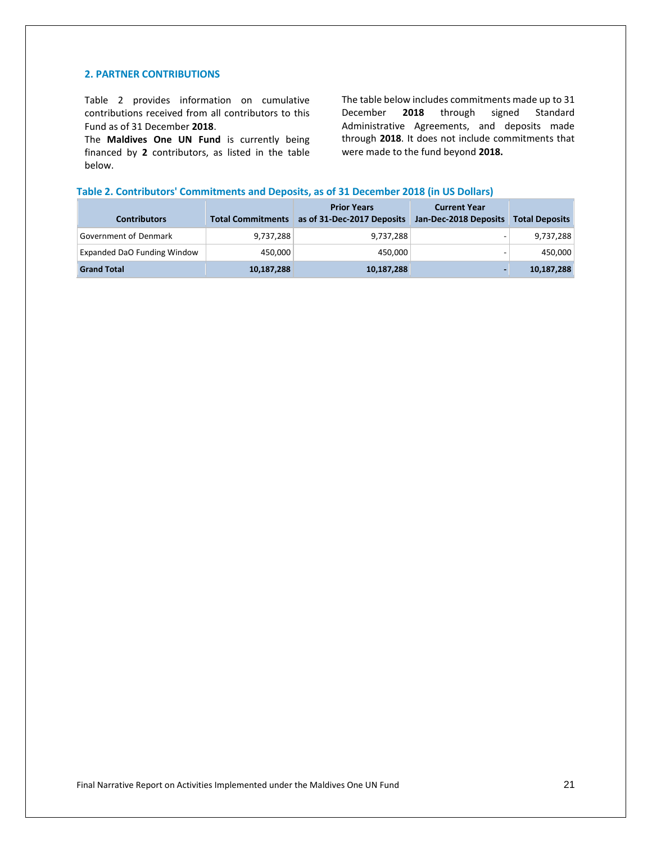#### **2. PARTNER CONTRIBUTIONS**

Table 2 provides information on cumulative contributions received from all contributors to this Fund as of 31 December **2018**.

The **Maldives One UN Fund** is currently being financed by **2** contributors, as listed in the table below.

The table below includes commitments made up to 31 December **2018** through signed Standard Administrative Agreements, and deposits made through **2018**. It does not include commitments that were made to the fund beyond **2018.**

#### **Table 2. Contributors' Commitments and Deposits, as of 31 December 2018 (in US Dollars)**

| <b>Contributors</b>         | <b>Total Commitments</b> | <b>Prior Years</b><br>as of 31-Dec-2017 Deposits | <b>Current Year</b><br>Jan-Dec-2018 Deposits | <b>Total Deposits</b> |
|-----------------------------|--------------------------|--------------------------------------------------|----------------------------------------------|-----------------------|
| Government of Denmark       | 9,737,288                | 9,737,288                                        | -                                            | 9,737,288             |
| Expanded DaO Funding Window | 450,000                  | 450,000                                          | -                                            | 450,000               |
| <b>Grand Total</b>          | 10,187,288               | 10,187,288                                       |                                              | 10,187,288            |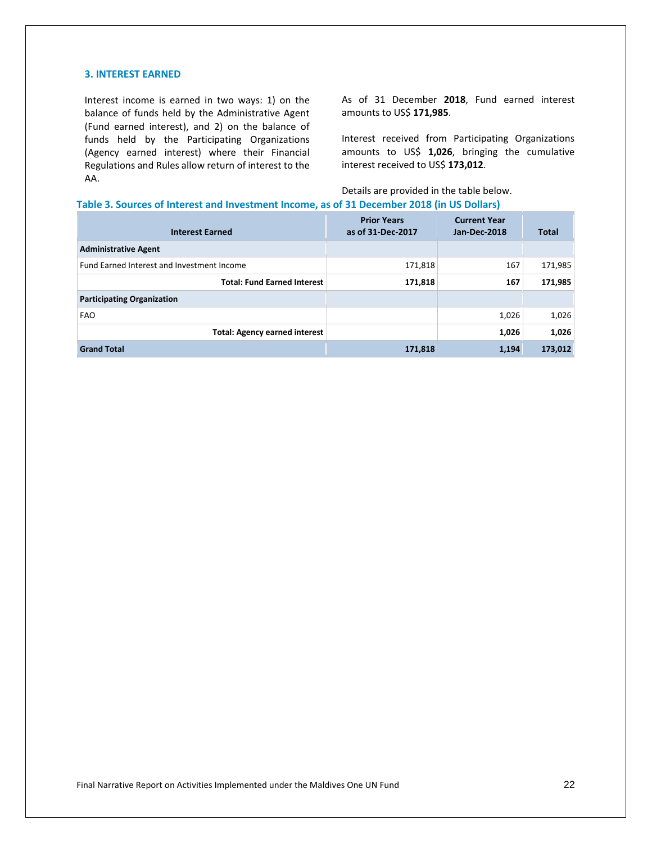#### **3. INTEREST EARNED**

Interest income is earned in two ways: 1) on the balance of funds held by the Administrative Agent (Fund earned interest), and 2) on the balance of funds held by the Participating Organizations (Agency earned interest) where their Financial Regulations and Rules allow return of interest to the AA.

As of 31 December **2018**, Fund earned interest amounts to US\$ **171,985**.

Interest received from Participating Organizations amounts to US\$ **1,026**, bringing the cumulative interest received to US\$ **173,012**.

Details are provided in the table below.

#### **Table 3. Sources of Interest and Investment Income, as of 31 December 2018 (in US Dollars)**

| <b>Interest Earned</b>                     | <b>Prior Years</b><br>as of 31-Dec-2017 | <b>Current Year</b><br>Jan-Dec-2018 | <b>Total</b> |
|--------------------------------------------|-----------------------------------------|-------------------------------------|--------------|
| <b>Administrative Agent</b>                |                                         |                                     |              |
| Fund Earned Interest and Investment Income | 171,818                                 | 167                                 | 171,985      |
| <b>Total: Fund Earned Interest</b>         | 171,818                                 | 167                                 | 171,985      |
| <b>Participating Organization</b>          |                                         |                                     |              |
| <b>FAO</b>                                 |                                         | 1,026                               | 1,026        |
| <b>Total: Agency earned interest</b>       |                                         | 1,026                               | 1,026        |
| <b>Grand Total</b>                         | 171,818                                 | 1,194                               | 173,012      |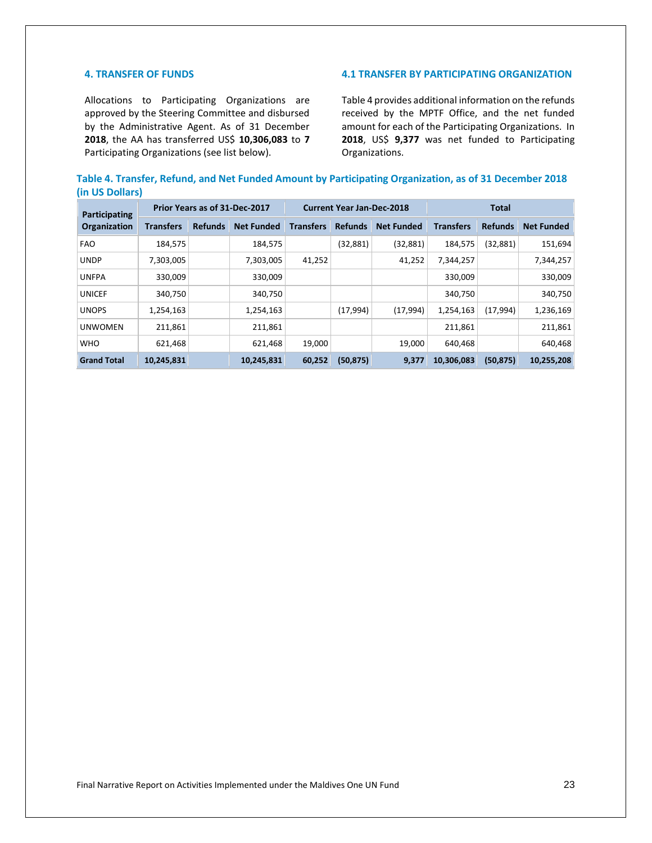#### **4. TRANSFER OF FUNDS**

Allocations to Participating Organizations are approved by the Steering Committee and disbursed by the Administrative Agent. As of 31 December **2018**, the AA has transferred US\$ **10,306,083** to **7** Participating Organizations (see list below).

## **4.1 TRANSFER BY PARTICIPATING ORGANIZATION**

Table 4 provides additional information on the refunds received by the MPTF Office, and the net funded amount for each of the Participating Organizations. In **2018**, US\$ **9,377** was net funded to Participating Organizations.

|                 | Table 4. Transfer, Refund, and Net Funded Amount by Participating Organization, as of 31 December 2018 |  |
|-----------------|--------------------------------------------------------------------------------------------------------|--|
| (in US Dollars) |                                                                                                        |  |

| Participating<br><b>Organization</b> | Prior Years as of 31-Dec-2017 |                |                   | <b>Current Year Jan-Dec-2018</b> |                |                   | <b>Total</b>     |                |                   |
|--------------------------------------|-------------------------------|----------------|-------------------|----------------------------------|----------------|-------------------|------------------|----------------|-------------------|
|                                      | <b>Transfers</b>              | <b>Refunds</b> | <b>Net Funded</b> | <b>Transfers</b>                 | <b>Refunds</b> | <b>Net Funded</b> | <b>Transfers</b> | <b>Refunds</b> | <b>Net Funded</b> |
| <b>FAO</b>                           | 184,575                       |                | 184,575           |                                  | (32, 881)      | (32, 881)         | 184,575          | (32,881)       | 151,694           |
| <b>UNDP</b>                          | 7,303,005                     |                | 7,303,005         | 41,252                           |                | 41,252            | 7,344,257        |                | 7,344,257         |
| <b>UNFPA</b>                         | 330,009                       |                | 330,009           |                                  |                |                   | 330,009          |                | 330,009           |
| <b>UNICEF</b>                        | 340,750                       |                | 340,750           |                                  |                |                   | 340,750          |                | 340,750           |
| <b>UNOPS</b>                         | 1,254,163                     |                | 1,254,163         |                                  | (17,994)       | (17, 994)         | 1,254,163        | (17, 994)      | 1,236,169         |
| <b>UNWOMEN</b>                       | 211,861                       |                | 211,861           |                                  |                |                   | 211,861          |                | 211,861           |
| <b>WHO</b>                           | 621,468                       |                | 621,468           | 19,000                           |                | 19,000            | 640,468          |                | 640,468           |
| <b>Grand Total</b>                   | 10,245,831                    |                | 10,245,831        | 60,252                           | (50, 875)      | 9,377             | 10,306,083       | (50, 875)      | 10,255,208        |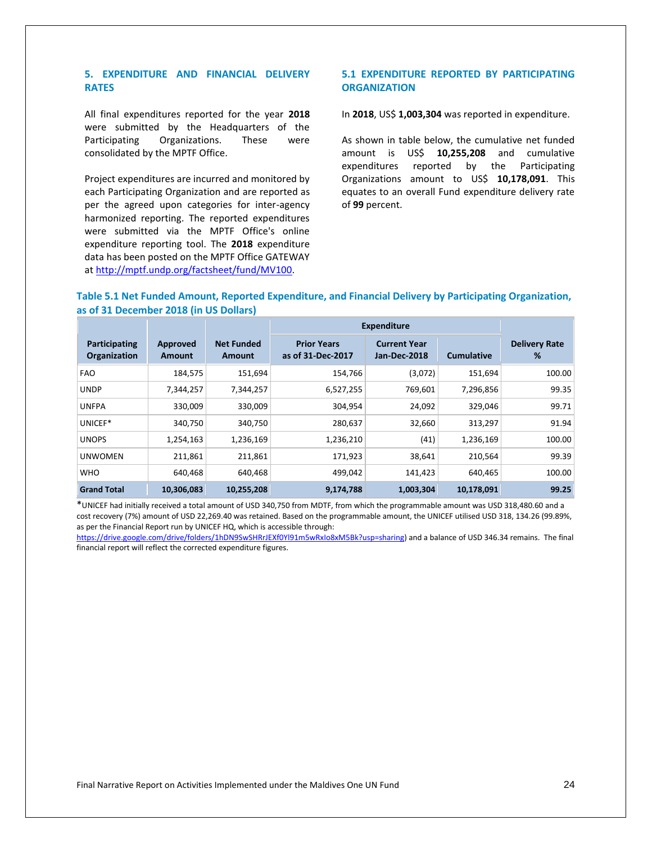## **5. EXPENDITURE AND FINANCIAL DELIVERY RATES**

All final expenditures reported for the year **2018** were submitted by the Headquarters of the Participating Organizations. These were consolidated by the MPTF Office.

Project expenditures are incurred and monitored by each Participating Organization and are reported as per the agreed upon categories for inter-agency harmonized reporting. The reported expenditures were submitted via the MPTF Office's online expenditure reporting tool. The **2018** expenditure data has been posted on the MPTF Office GATEWAY at [http://mptf.undp.org/factsheet/fund/MV100.](http://mptf.undp.org/factsheet/fund/MV100) 

## **5.1 EXPENDITURE REPORTED BY PARTICIPATING ORGANIZATION**

#### In **2018**, US\$ **1,003,304** was reported in expenditure.

As shown in table below, the cumulative net funded amount is US\$ **10,255,208** and cumulative expenditures reported by the Participating Organizations amount to US\$ **10,178,091**. This equates to an overall Fund expenditure delivery rate of **99** percent.

#### **Table 5.1 Net Funded Amount, Reported Expenditure, and Financial Delivery by Participating Organization, as of 31 December 2018 (in US Dollars)**

|                               |                    |                             | <b>Expenditure</b>                      |                                     |                   |                           |
|-------------------------------|--------------------|-----------------------------|-----------------------------------------|-------------------------------------|-------------------|---------------------------|
| Participating<br>Organization | Approved<br>Amount | <b>Net Funded</b><br>Amount | <b>Prior Years</b><br>as of 31-Dec-2017 | <b>Current Year</b><br>Jan-Dec-2018 | <b>Cumulative</b> | <b>Delivery Rate</b><br>% |
| <b>FAO</b>                    | 184,575            | 151,694                     | 154,766                                 | (3,072)                             | 151,694           | 100.00                    |
| <b>UNDP</b>                   | 7,344,257          | 7,344,257                   | 6,527,255                               | 769,601                             | 7,296,856         | 99.35                     |
| <b>UNFPA</b>                  | 330,009            | 330,009                     | 304,954                                 | 24,092                              | 329,046           | 99.71                     |
| UNICEF*                       | 340.750            | 340,750                     | 280,637                                 | 32,660                              | 313,297           | 91.94                     |
| <b>UNOPS</b>                  | 1,254,163          | 1,236,169                   | 1,236,210                               | (41)                                | 1,236,169         | 100.00                    |
| <b>UNWOMEN</b>                | 211,861            | 211,861                     | 171,923                                 | 38,641                              | 210,564           | 99.39                     |
| <b>WHO</b>                    | 640,468            | 640,468                     | 499,042                                 | 141,423                             | 640,465           | 100.00                    |
| <b>Grand Total</b>            | 10,306,083         | 10,255,208                  | 9,174,788                               | 1,003,304                           | 10,178,091        | 99.25                     |

\*UNICEF had initially received a total amount of USD 340,750 from MDTF, from which the programmable amount was USD 318,480.60 and a cost recovery (7%) amount of USD 22,269.40 was retained. Based on the programmable amount, the UNICEF utilised USD 318, 134.26 (99.89%, as per the Financial Report run by UNICEF HQ, which is accessible through:

[https://drive.google.com/drive/folders/1hDN9SwSHRrJEXf0Yl91m5wRxIo8xM5Bk?usp=sharing\)](https://drive.google.com/drive/folders/1hDN9SwSHRrJEXf0Yl91m5wRxIo8xM5Bk?usp=sharing) and a balance of USD 346.34 remains. The final financial report will reflect the corrected expenditure figures.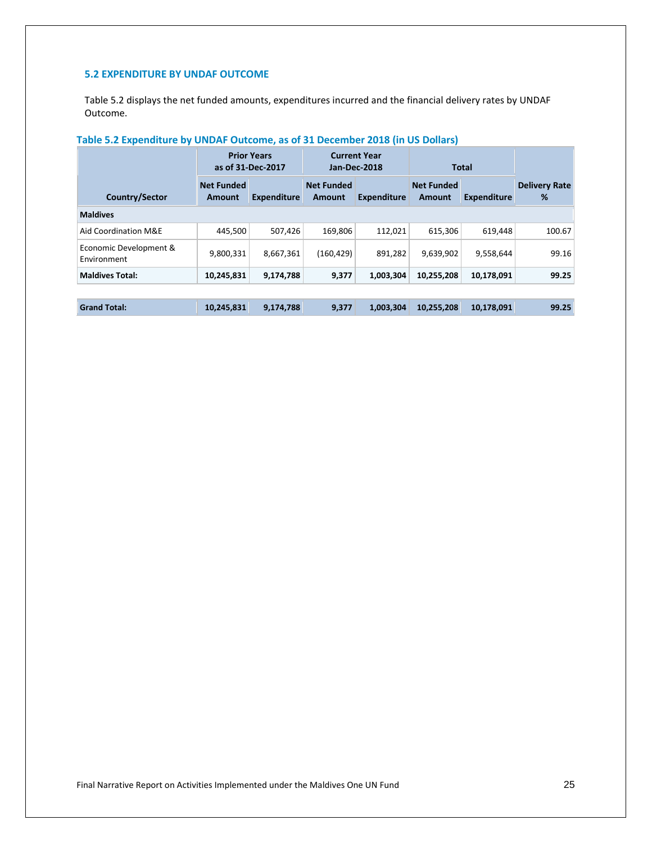# **5.2 EXPENDITURE BY UNDAF OUTCOME**

Table 5.2 displays the net funded amounts, expenditures incurred and the financial delivery rates by UNDAF Outcome.

# **Table 5.2 Expenditure by UNDAF Outcome, as of 31 December 2018 (in US Dollars)**

|                                       | <b>Prior Years</b><br>as of 31-Dec-2017 |                    | <b>Current Year</b><br>Jan-Dec-2018 |                    | <b>Total</b>                       |                    |                           |
|---------------------------------------|-----------------------------------------|--------------------|-------------------------------------|--------------------|------------------------------------|--------------------|---------------------------|
| Country/Sector                        | <b>Net Funded</b><br>Amount             | <b>Expenditure</b> | <b>Net Funded</b><br><b>Amount</b>  | <b>Expenditure</b> | <b>Net Funded</b><br><b>Amount</b> | <b>Expenditure</b> | <b>Delivery Rate</b><br>% |
| <b>Maldives</b>                       |                                         |                    |                                     |                    |                                    |                    |                           |
| Aid Coordination M&E                  | 445.500                                 | 507.426            | 169.806                             | 112.021            | 615.306                            | 619.448            | 100.67                    |
| Economic Development &<br>Environment | 9,800,331                               | 8.667.361          | (160, 429)                          | 891.282            | 9.639.902                          | 9,558,644          | 99.16                     |
| <b>Maldives Total:</b>                | 10,245,831                              | 9,174,788          | 9,377                               | 1,003,304          | 10,255,208                         | 10,178,091         | 99.25                     |
|                                       |                                         |                    |                                     |                    |                                    |                    |                           |
| <b>Grand Total:</b>                   | 10,245,831                              | 9,174,788          | 9.377                               | 1,003,304          | 10.255.208                         | 10,178,091         | 99.25                     |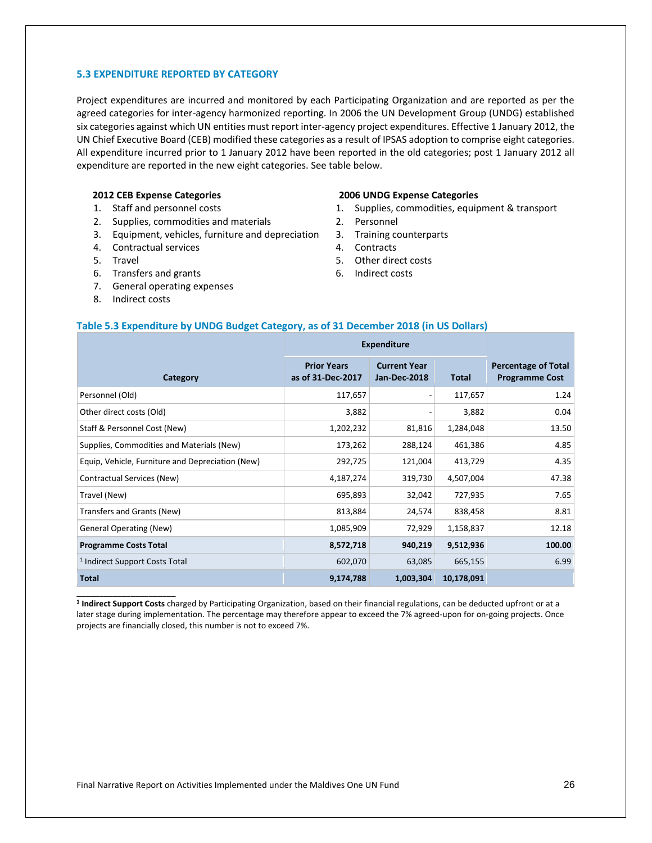#### **5.3 EXPENDITURE REPORTED BY CATEGORY**

Project expenditures are incurred and monitored by each Participating Organization and are reported as per the agreed categories for inter-agency harmonized reporting. In 2006 the UN Development Group (UNDG) established six categories against which UN entities must report inter-agency project expenditures. Effective 1 January 2012, the UN Chief Executive Board (CEB) modified these categories as a result of IPSAS adoption to comprise eight categories. All expenditure incurred prior to 1 January 2012 have been reported in the old categories; post 1 January 2012 all expenditure are reported in the new eight categories. See table below.

#### **2012 CEB Expense Categories**

- 1. Staff and personnel costs
- 2. Supplies, commodities and materials
- 3. Equipment, vehicles, furniture and depreciation
- 4. Contractual services
- 5. Travel
- 6. Transfers and grants
- 7. General operating expenses
- 8. Indirect costs

\_\_\_\_\_\_\_\_\_\_\_\_\_\_\_\_\_\_\_\_\_\_

#### **2006 UNDG Expense Categories**

- 1. Supplies, commodities, equipment & transport
- 2. Personnel
- 3. Training counterparts
- 4. Contracts
- 5. Other direct costs
- 6. Indirect costs

#### **Table 5.3 Expenditure by UNDG Budget Category, as of 31 December 2018 (in US Dollars)**

|                                                  | <b>Expenditure</b>                      |                                            |            |                                                     |
|--------------------------------------------------|-----------------------------------------|--------------------------------------------|------------|-----------------------------------------------------|
| Category                                         | <b>Prior Years</b><br>as of 31-Dec-2017 | <b>Current Year</b><br><b>Jan-Dec-2018</b> | Total      | <b>Percentage of Total</b><br><b>Programme Cost</b> |
| Personnel (Old)                                  | 117,657                                 |                                            | 117,657    | 1.24                                                |
| Other direct costs (Old)                         | 3,882                                   |                                            | 3,882      | 0.04                                                |
| Staff & Personnel Cost (New)                     | 1,202,232                               | 81,816                                     | 1,284,048  | 13.50                                               |
| Supplies, Commodities and Materials (New)        | 173,262                                 | 288,124                                    | 461,386    | 4.85                                                |
| Equip, Vehicle, Furniture and Depreciation (New) | 292,725                                 | 121,004                                    | 413,729    | 4.35                                                |
| Contractual Services (New)                       | 4,187,274                               | 319,730                                    | 4,507,004  | 47.38                                               |
| Travel (New)                                     | 695,893                                 | 32,042                                     | 727,935    | 7.65                                                |
| Transfers and Grants (New)                       | 813,884                                 | 24,574                                     | 838,458    | 8.81                                                |
| <b>General Operating (New)</b>                   | 1,085,909                               | 72,929                                     | 1,158,837  | 12.18                                               |
| <b>Programme Costs Total</b>                     | 8,572,718                               | 940,219                                    | 9,512,936  | 100.00                                              |
| <sup>1</sup> Indirect Support Costs Total        | 602,070                                 | 63,085                                     | 665,155    | 6.99                                                |
| <b>Total</b>                                     | 9,174,788                               | 1,003,304                                  | 10,178,091 |                                                     |

**1 Indirect Support Costs** charged by Participating Organization, based on their financial regulations, can be deducted upfront or at a later stage during implementation. The percentage may therefore appear to exceed the 7% agreed-upon for on-going projects. Once projects are financially closed, this number is not to exceed 7%.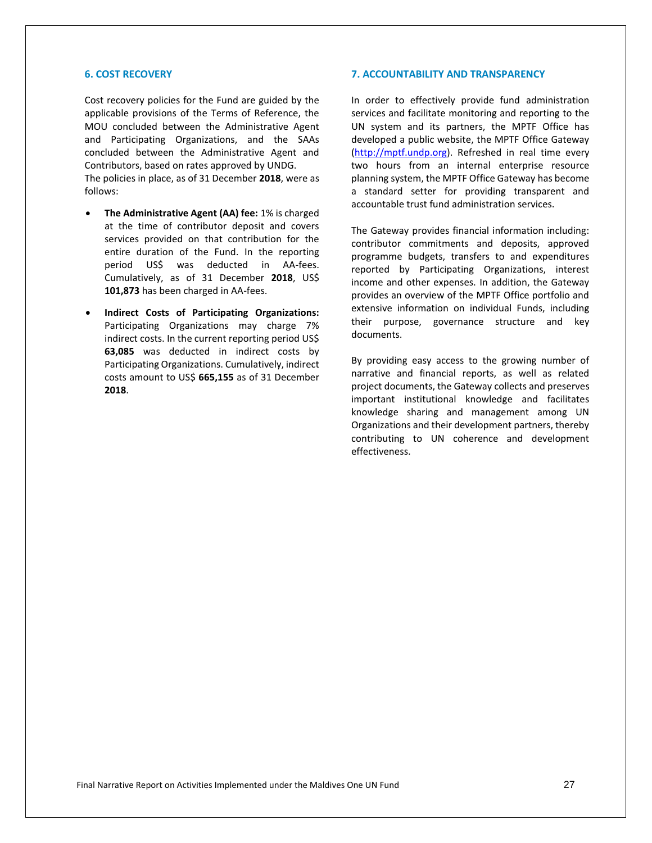#### **6. COST RECOVERY**

Cost recovery policies for the Fund are guided by the applicable provisions of the Terms of Reference, the MOU concluded between the Administrative Agent and Participating Organizations, and the SAAs concluded between the Administrative Agent and Contributors, based on rates approved by UNDG.

The policies in place, as of 31 December **2018**, were as follows:

- **The Administrative Agent (AA) fee:** 1% is charged at the time of contributor deposit and covers services provided on that contribution for the entire duration of the Fund. In the reporting period US\$ was deducted in AA-fees. Cumulatively, as of 31 December **2018**, US\$ **101,873** has been charged in AA-fees.
- **Indirect Costs of Participating Organizations:** Participating Organizations may charge 7% indirect costs. In the current reporting period US\$ **63,085** was deducted in indirect costs by Participating Organizations. Cumulatively, indirect costs amount to US\$ **665,155** as of 31 December **2018**.

#### **7. ACCOUNTABILITY AND TRANSPARENCY**

In order to effectively provide fund administration services and facilitate monitoring and reporting to the UN system and its partners, the MPTF Office has developed a public website, the MPTF Office Gateway [\(http://mptf.undp.org\)](http://mptf.undp.org/). Refreshed in real time every two hours from an internal enterprise resource planning system, the MPTF Office Gateway has become a standard setter for providing transparent and accountable trust fund administration services.

The Gateway provides financial information including: contributor commitments and deposits, approved programme budgets, transfers to and expenditures reported by Participating Organizations, interest income and other expenses. In addition, the Gateway provides an overview of the MPTF Office portfolio and extensive information on individual Funds, including their purpose, governance structure and key documents.

By providing easy access to the growing number of narrative and financial reports, as well as related project documents, the Gateway collects and preserves important institutional knowledge and facilitates knowledge sharing and management among UN Organizations and their development partners, thereby contributing to UN coherence and development effectiveness.